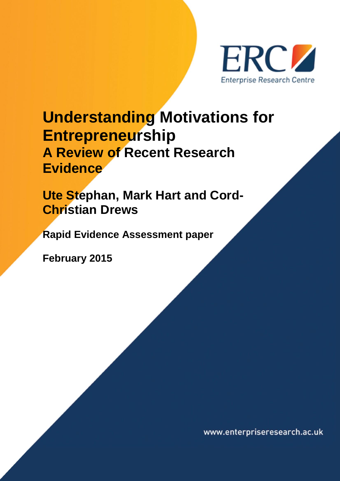

# **Understanding Motivations for Entrepreneurship A Review of Recent Research Evidence**

**Ute Stephan, Mark Hart and Cord-Christian Drews**

**Rapid Evidence Assessment paper**

**February 2015**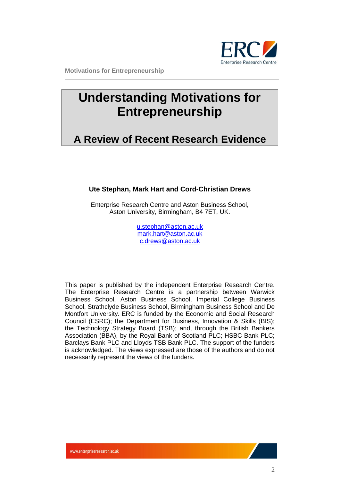

## **Understanding Motivations for Entrepreneurship**

## **A Review of Recent Research Evidence**

#### **Ute Stephan, Mark Hart and Cord-Christian Drews**

Enterprise Research Centre and Aston Business School, Aston University, Birmingham, B4 7ET, UK.

> [u.stephan@aston.ac.uk](mailto:u.stephan@aston.ac.uk) [mark.hart@aston.ac.uk](mailto:mark.hart@aston.ac.uk) [c.drews@aston.ac.uk](mailto:c.drews@aston.ac.uk)

This paper is published by the independent Enterprise Research Centre. The Enterprise Research Centre is a partnership between Warwick Business School, Aston Business School, Imperial College Business School, Strathclyde Business School, Birmingham Business School and De Montfort University. ERC is funded by the Economic and Social Research Council (ESRC); the Department for Business, Innovation & Skills (BIS); the Technology Strategy Board (TSB); and, through the British Bankers Association (BBA), by the Royal Bank of Scotland PLC; HSBC Bank PLC; Barclays Bank PLC and Lloyds TSB Bank PLC. The support of the funders is acknowledged. The views expressed are those of the authors and do not necessarily represent the views of the funders.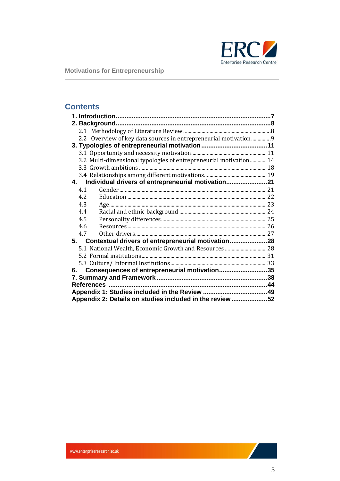

## **Contents**

|                                                          | 2.2 Overview of key data sources in entrepreneurial motivation9   |  |
|----------------------------------------------------------|-------------------------------------------------------------------|--|
|                                                          |                                                                   |  |
|                                                          |                                                                   |  |
|                                                          | 3.2 Multi-dimensional typologies of entrepreneurial motivation 14 |  |
|                                                          |                                                                   |  |
|                                                          |                                                                   |  |
|                                                          | 4. Individual drivers of entrepreneurial motivation21             |  |
| 4.1                                                      |                                                                   |  |
| 4.2                                                      |                                                                   |  |
| 4.3                                                      |                                                                   |  |
| 4.4                                                      |                                                                   |  |
| 4.5                                                      |                                                                   |  |
| 4.6                                                      |                                                                   |  |
| 4.7                                                      |                                                                   |  |
|                                                          | 5. Contextual drivers of entrepreneurial motivation28             |  |
|                                                          |                                                                   |  |
|                                                          |                                                                   |  |
|                                                          |                                                                   |  |
|                                                          | 6. Consequences of entrepreneurial motivation35                   |  |
|                                                          |                                                                   |  |
|                                                          |                                                                   |  |
|                                                          |                                                                   |  |
| Appendix 2: Details on studies included in the review 52 |                                                                   |  |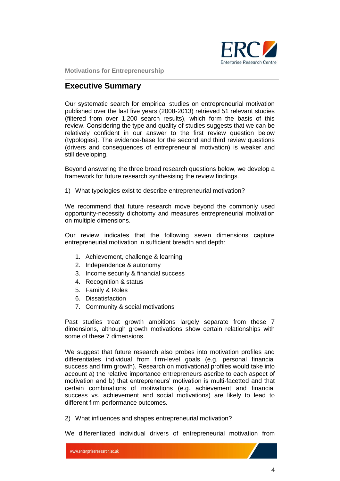

### **Executive Summary**

Our systematic search for empirical studies on entrepreneurial motivation published over the last five years (2008-2013) retrieved 51 relevant studies (filtered from over 1,200 search results), which form the basis of this review. Considering the type and quality of studies suggests that we can be relatively confident in our answer to the first review question below (typologies). The evidence-base for the second and third review questions (drivers and consequences of entrepreneurial motivation) is weaker and still developing.

Beyond answering the three broad research questions below, we develop a framework for future research synthesising the review findings.

1) What typologies exist to describe entrepreneurial motivation?

We recommend that future research move beyond the commonly used opportunity-necessity dichotomy and measures entrepreneurial motivation on multiple dimensions.

Our review indicates that the following seven dimensions capture entrepreneurial motivation in sufficient breadth and depth:

- 1. Achievement, challenge & learning
- 2. Independence & autonomy
- 3. Income security & financial success
- 4. Recognition & status
- 5. Family & Roles
- 6. Dissatisfaction
- 7. Community & social motivations

Past studies treat growth ambitions largely separate from these 7 dimensions, although growth motivations show certain relationships with some of these 7 dimensions.

We suggest that future research also probes into motivation profiles and differentiates individual from firm-level goals (e.g. personal financial success and firm growth). Research on motivational profiles would take into account a) the relative importance entrepreneurs ascribe to each aspect of motivation and b) that entrepreneurs' motivation is multi-facetted and that certain combinations of motivations (e.g. achievement and financial success vs. achievement and social motivations) are likely to lead to different firm performance outcomes.

2) What influences and shapes entrepreneurial motivation?

We differentiated individual drivers of entrepreneurial motivation from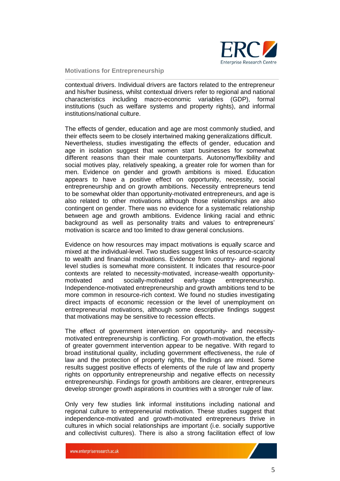

contextual drivers. Individual drivers are factors related to the entrepreneur and his/her business, whilst contextual drivers refer to regional and national characteristics including macro-economic variables (GDP), formal institutions (such as welfare systems and property rights), and informal institutions/national culture.

The effects of gender, education and age are most commonly studied, and their effects seem to be closely intertwined making generalizations difficult. Nevertheless, studies investigating the effects of gender, education and age in isolation suggest that women start businesses for somewhat different reasons than their male counterparts. Autonomy/flexibility and social motives play, relatively speaking, a greater role for women than for men. Evidence on gender and growth ambitions is mixed. Education appears to have a positive effect on opportunity, necessity, social entrepreneurship and on growth ambitions. Necessity entrepreneurs tend to be somewhat older than opportunity-motivated entrepreneurs, and age is also related to other motivations although those relationships are also contingent on gender. There was no evidence for a systematic relationship between age and growth ambitions. Evidence linking racial and ethnic background as well as personality traits and values to entrepreneurs' motivation is scarce and too limited to draw general conclusions.

Evidence on how resources may impact motivations is equally scarce and mixed at the individual-level. Two studies suggest links of resource-scarcity to wealth and financial motivations. Evidence from country- and regional level studies is somewhat more consistent. It indicates that resource-poor contexts are related to necessity-motivated, increase-wealth opportunitymotivated and socially-motivated early-stage entrepreneurship. Independence-motivated entrepreneurship and growth ambitions tend to be more common in resource-rich context. We found no studies investigating direct impacts of economic recession or the level of unemployment on entrepreneurial motivations, although some descriptive findings suggest that motivations may be sensitive to recession effects.

The effect of government intervention on opportunity- and necessitymotivated entrepreneurship is conflicting. For growth-motivation, the effects of greater government intervention appear to be negative. With regard to broad institutional quality, including government effectiveness, the rule of law and the protection of property rights, the findings are mixed. Some results suggest positive effects of elements of the rule of law and property rights on opportunity entrepreneurship and negative effects on necessity entrepreneurship. Findings for growth ambitions are clearer, entrepreneurs develop stronger growth aspirations in countries with a stronger rule of law.

Only very few studies link informal institutions including national and regional culture to entrepreneurial motivation. These studies suggest that independence-motivated and growth-motivated entrepreneurs thrive in cultures in which social relationships are important (i.e. socially supportive and collectivist cultures). There is also a strong facilitation effect of low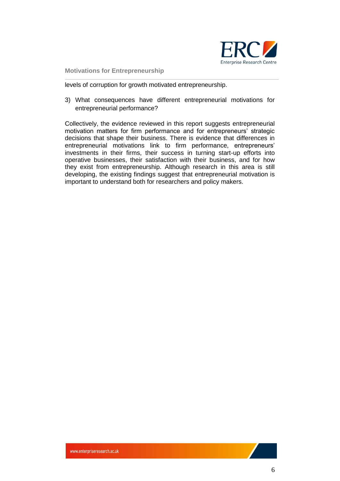

levels of corruption for growth motivated entrepreneurship.

3) What consequences have different entrepreneurial motivations for entrepreneurial performance?

Collectively, the evidence reviewed in this report suggests entrepreneurial motivation matters for firm performance and for entrepreneurs' strategic decisions that shape their business. There is evidence that differences in entrepreneurial motivations link to firm performance, entrepreneurs' investments in their firms, their success in turning start-up efforts into operative businesses, their satisfaction with their business, and for how they exist from entrepreneurship. Although research in this area is still developing, the existing findings suggest that entrepreneurial motivation is important to understand both for researchers and policy makers.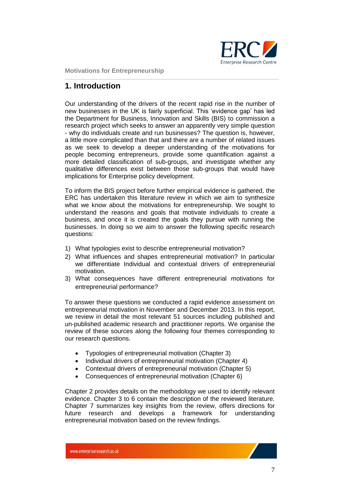

## <span id="page-6-0"></span>**1. Introduction**

Our understanding of the drivers of the recent rapid rise in the number of new businesses in the UK is fairly superficial. This 'evidence gap' has led the Department for Business, Innovation and Skills (BIS) to commission a research project which seeks to answer an apparently very simple question - why do individuals create and run businesses? The question is, however, a little more complicated than that and there are a number of related issues as we seek to develop a deeper understanding of the motivations for people becoming entrepreneurs, provide some quantification against a more detailed classification of sub-groups, and investigate whether any qualitative differences exist between those sub-groups that would have implications for Enterprise policy development.

To inform the BIS project before further empirical evidence is gathered, the ERC has undertaken this literature review in which we aim to synthesize what we know about the motivations for entrepreneurship. We sought to understand the reasons and goals that motivate individuals to create a business, and once it is created the goals they pursue with running the businesses. In doing so we aim to answer the following specific research questions:

- 1) What typologies exist to describe entrepreneurial motivation?
- 2) What influences and shapes entrepreneurial motivation? In particular we differentiate Individual and contextual drivers of entrepreneurial motivation.
- 3) What consequences have different entrepreneurial motivations for entrepreneurial performance?

To answer these questions we conducted a rapid evidence assessment on entrepreneurial motivation in November and December 2013. In this report, we review in detail the most relevant 51 sources including published and un-published academic research and practitioner reports. We organise the review of these sources along the following four themes corresponding to our research questions.

- Typologies of entrepreneurial motivation (Chapter 3)
- Individual drivers of entrepreneurial motivation (Chapter 4)
- Contextual drivers of entrepreneurial motivation (Chapter 5)
- Consequences of entrepreneurial motivation (Chapter 6)

Chapter 2 provides details on the methodology we used to identify relevant evidence. Chapter 3 to 6 contain the description of the reviewed literature. Chapter 7 summarizes key insights from the review, offers directions for future research and develops a framework for understanding entrepreneurial motivation based on the review findings.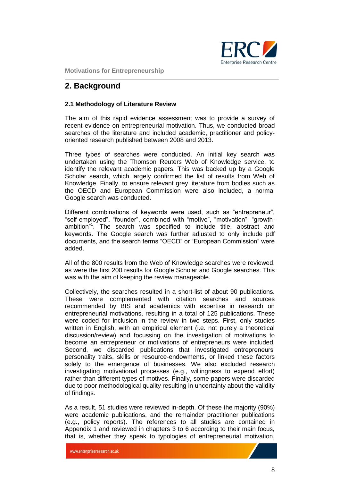

## <span id="page-7-0"></span>**2. Background**

#### <span id="page-7-1"></span>**2.1 Methodology of Literature Review**

The aim of this rapid evidence assessment was to provide a survey of recent evidence on entrepreneurial motivation. Thus, we conducted broad searches of the literature and included academic, practitioner and policyoriented research published between 2008 and 2013.

Three types of searches were conducted. An initial key search was undertaken using the Thomson Reuters Web of Knowledge service, to identify the relevant academic papers. This was backed up by a Google Scholar search, which largely confirmed the list of results from Web of Knowledge. Finally, to ensure relevant grey literature from bodies such as the OECD and European Commission were also included, a normal Google search was conducted.

Different combinations of keywords were used, such as "entrepreneur", "self-employed", "founder", combined with "motive", "motivation", "growthambition<sup>"1</sup>. The search was specified to include title, abstract and keywords. The Google search was further adjusted to only include pdf documents, and the search terms "OECD" or "European Commission" were added.

All of the 800 results from the Web of Knowledge searches were reviewed, as were the first 200 results for Google Scholar and Google searches. This was with the aim of keeping the review manageable.

Collectively, the searches resulted in a short-list of about 90 publications. These were complemented with citation searches and sources recommended by BIS and academics with expertise in research on entrepreneurial motivations, resulting in a total of 125 publications. These were coded for inclusion in the review in two steps. First, only studies written in English, with an empirical element (i.e. not purely a theoretical discussion/review) and focussing on the investigation of motivations to become an entrepreneur or motivations of entrepreneurs were included. Second, we discarded publications that investigated entrepreneurs' personality traits, skills or resource-endowments, or linked these factors solely to the emergence of businesses. We also excluded research investigating motivational processes (e.g., willingness to expend effort) rather than different types of motives. Finally, some papers were discarded due to poor methodological quality resulting in uncertainty about the validity of findings.

As a result, 51 studies were reviewed in-depth. Of these the majority (90%) were academic publications, and the remainder practitioner publications (e.g., policy reports). The references to all studies are contained in Appendix 1 and reviewed in chapters 3 to 6 according to their main focus, that is, whether they speak to typologies of entrepreneurial motivation,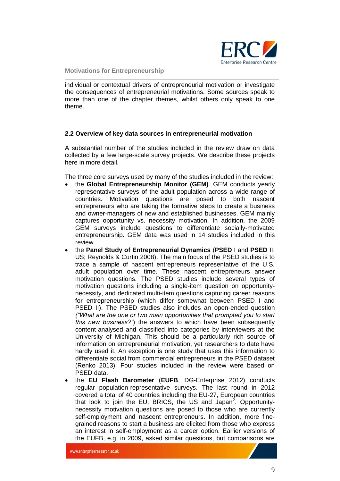

individual or contextual drivers of entrepreneurial motivation or investigate the consequences of entrepreneurial motivations. Some sources speak to more than one of the chapter themes, whilst others only speak to one theme.

#### <span id="page-8-0"></span>**2.2 Overview of key data sources in entrepreneurial motivation**

A substantial number of the studies included in the review draw on data collected by a few large-scale survey projects. We describe these projects here in more detail.

The three core surveys used by many of the studies included in the review:

- the **Global Entrepreneurship Monitor (GEM)**. GEM conducts yearly representative surveys of the adult population across a wide range of countries. Motivation questions are posed to both nascent entrepreneurs who are taking the formative steps to create a business and owner-managers of new and established businesses. GEM mainly captures opportunity vs. necessity motivation. In addition, the 2009 GEM surveys include questions to differentiate socially-motivated entrepreneurship. GEM data was used in 14 studies included in this review.
- the **Panel Study of Entrepreneurial Dynamics** (**PSED** I and **PSED** II; US; Reynolds & Curtin 2008). The main focus of the PSED studies is to trace a sample of nascent entrepreneurs representative of the U.S. adult population over time. These nascent entrepreneurs answer motivation questions. The PSED studies include several types of motivation questions including a single-item question on opportunitynecessity, and dedicated multi-item questions capturing career reasons for entrepreneurship (which differ somewhat between PSED I and PSED II). The PSED studies also includes an open-ended question *("What are the one or two main opportunities that prompted you to start this new business?"*) the answers to which have been subsequently content-analysed and classified into categories by interviewers at the University of Michigan. This should be a particularly rich source of information on entrepreneurial motivation, yet researchers to date have hardly used it. An exception is one study that uses this information to differentiate social from commercial entrepreneurs in the PSED dataset (Renko 2013). Four studies included in the review were based on PSED data.
- the **EU Flash Barometer** (**EUFB**, DG-Enterprise 2012) conducts regular population-representative surveys. The last round in 2012 covered a total of 40 countries including the EU-27, European countries that look to join the EU, BRICS, the US and Japan<sup>2</sup>. Opportunitynecessity motivation questions are posed to those who are currently self-employment and nascent entrepreneurs. In addition, more finegrained reasons to start a business are elicited from those who express an interest in self-employment as a career option. Earlier versions of the EUFB, e.g. in 2009, asked similar questions, but comparisons are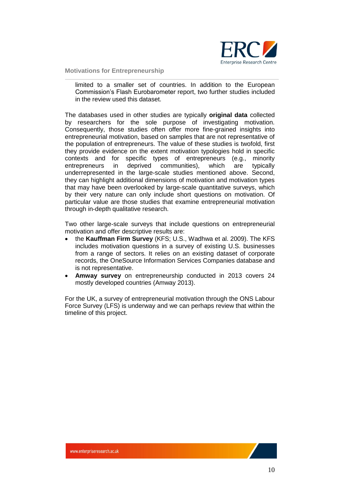

limited to a smaller set of countries. In addition to the European Commission's Flash Eurobarometer report, two further studies included in the review used this dataset.

The databases used in other studies are typically **original data** collected by researchers for the sole purpose of investigating motivation. Consequently, those studies often offer more fine-grained insights into entrepreneurial motivation, based on samples that are not representative of the population of entrepreneurs. The value of these studies is twofold, first they provide evidence on the extent motivation typologies hold in specific contexts and for specific types of entrepreneurs (e.g., minority entrepreneurs in deprived communities), which are typically underrepresented in the large-scale studies mentioned above. Second, they can highlight additional dimensions of motivation and motivation types that may have been overlooked by large-scale quantitative surveys, which by their very nature can only include short questions on motivation. Of particular value are those studies that examine entrepreneurial motivation through in-depth qualitative research.

Two other large-scale surveys that include questions on entrepreneurial motivation and offer descriptive results are:

- the **Kauffman Firm Survey** (KFS; U.S., Wadhwa et al. 2009). The KFS includes motivation questions in a survey of existing U.S. businesses from a range of sectors. It relies on an existing dataset of corporate records, the OneSource Information Services Companies database and is not representative.
- **Amway survey** on entrepreneurship conducted in 2013 covers 24 mostly developed countries (Amway 2013).

For the UK, a survey of entrepreneurial motivation through the ONS Labour Force Survey (LFS) is underway and we can perhaps review that within the timeline of this project.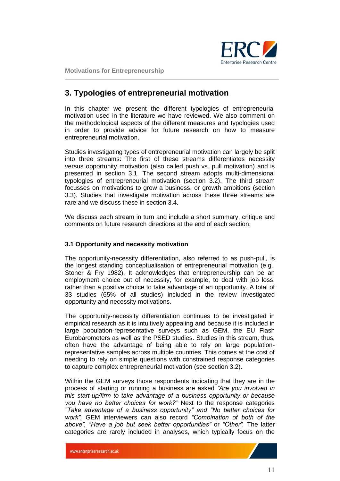

## <span id="page-10-0"></span>**3. Typologies of entrepreneurial motivation**

In this chapter we present the different typologies of entrepreneurial motivation used in the literature we have reviewed. We also comment on the methodological aspects of the different measures and typologies used in order to provide advice for future research on how to measure entrepreneurial motivation.

Studies investigating types of entrepreneurial motivation can largely be split into three streams: The first of these streams differentiates necessity versus opportunity motivation (also called push vs. pull motivation) and is presented in section 3.1. The second stream adopts multi-dimensional typologies of entrepreneurial motivation (section 3.2). The third stream focusses on motivations to grow a business, or growth ambitions (section 3.3). Studies that investigate motivation across these three streams are rare and we discuss these in section 3.4.

We discuss each stream in turn and include a short summary, critique and comments on future research directions at the end of each section.

#### <span id="page-10-1"></span>**3.1 Opportunity and necessity motivation**

The opportunity-necessity differentiation, also referred to as push-pull, is the longest standing conceptualisation of entrepreneurial motivation (e.g., Stoner & Fry 1982). It acknowledges that entrepreneurship can be an employment choice out of necessity, for example, to deal with job loss, rather than a positive choice to take advantage of an opportunity. A total of 33 studies (65% of all studies) included in the review investigated opportunity and necessity motivations.

The opportunity-necessity differentiation continues to be investigated in empirical research as it is intuitively appealing and because it is included in large population-representative surveys such as GEM, the EU Flash Eurobarometers as well as the PSED studies. Studies in this stream, thus, often have the advantage of being able to rely on large populationrepresentative samples across multiple countries. This comes at the cost of needing to rely on simple questions with constrained response categories to capture complex entrepreneurial motivation (see section 3.2).

Within the GEM surveys those respondents indicating that they are in the process of starting or running a business are asked *"Are you involved in this start-up/firm to take advantage of a business opportunity or because you have no better choices for work?"* Next to the response categories *"Take advantage of a business opportunity" and "No better choices for work",* GEM interviewers can also record *"Combination of both of the above", "Have a job but seek better opportunities"* or *"Other".* The latter categories are rarely included in analyses, which typically focus on the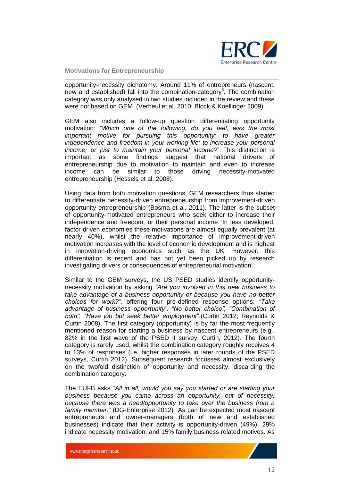

opportunity-necessity dichotomy. Around 11% of entrepreneurs (nascent, new and established) fall into the combination-category<sup>3</sup>. The combination category was only analysed in two studies included in the review and these were not based on GEM (Verheul et al. 2010; Block & Koellinger 2009).

GEM also includes a follow-up question differentiating opportunity motivation: *"Which one of the following, do you feel, was the most important motive for pursuing this opportunity: to have greater independence and freedom in your working life; to increase your personal income; or just to maintain your personal income?*" This distinction is important as some findings suggest that national drivers of entrepreneurship due to motivation to maintain and even to increase income can be similar to those driving necessity-motivated entrepreneurship (Hessels et al. 2008).

Using data from both motivation questions, GEM researchers thus started to differentiate necessity-driven entrepreneurship from improvement-driven opportunity entrepreneurship (Bosma et al. 2011). The latter is the subset of opportunity-motivated entrepreneurs who seek either to increase their independence and freedom, or their personal income. In less developed, factor-driven economies these motivations are almost equally prevalent (at nearly 40%), whilst the relative importance of improvement-driven motivation increases with the level of economic development and is highest in innovation-driving economics such as the UK. However, this differentiation is recent and has not yet been picked up by research investigating drivers or consequences of entrepreneurial motivation.

Similar to the GEM surveys, the US PSED studies identify opportunitynecessity motivation by asking *"Are you involved in this new business to take advantage of a business opportunity or because you have no better choices for work?",* offering four pre-defined response options: *"Take advantage of business opportunity", "No better choice", "Combination of both", "Have job but seek better employment*".(Curtin 2012; Reynolds & Curtin 2008). The first category (opportunity) is by far the most frequently mentioned reason for starting a business by nascent entrepreneurs (e.g., 82% in the first wave of the PSED II survey, Curtin, 2012). The fourth category is rarely used, whilst the combination category roughly receives 4 to 13% of responses (i.e. higher responses in later rounds of the PSED surveys, Curtin 2012). Subsequent research focusses almost exclusively on the twofold distinction of opportunity and necessity, discarding the combination category.

The EUFB asks *"All in all, would you say you started or are starting your business because you came across an opportunity, out of necessity, because there was a need/opportunity to take over the business from a family member."* (DG-Enterprise 2012) As can be expected most nascent entrepreneurs and owner-managers (both of new and established businesses) indicate that their activity is opportunity-driven (49%), 29% indicate necessity motivation, and 15% family business related motives. As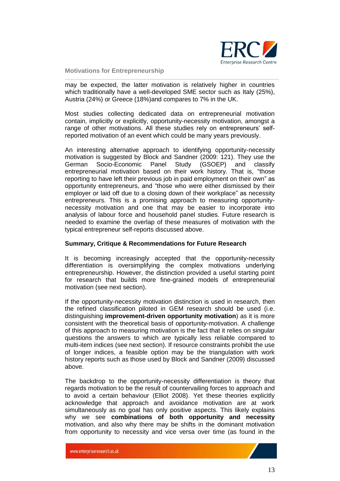

may be expected, the latter motivation is relatively higher in countries which traditionally have a well-developed SME sector such as Italy (25%), Austria (24%) or Greece (18%)and compares to 7% in the UK.

Most studies collecting dedicated data on entrepreneurial motivation contain, implicitly or explicitly, opportunity-necessity motivation, amongst a range of other motivations. All these studies rely on entrepreneurs' selfreported motivation of an event which could be many years previously.

An interesting alternative approach to identifying opportunity-necessity motivation is suggested by Block and Sandner (2009: 121). They use the German Socio-Economic Panel Study (GSOEP) and classify entrepreneurial motivation based on their work history. That is, "those reporting to have left their previous job in paid employment on their own" as opportunity entrepreneurs, and "those who were either dismissed by their employer or laid off due to a closing down of their workplace" as necessity entrepreneurs. This is a promising approach to measuring opportunitynecessity motivation and one that may be easier to incorporate into analysis of labour force and household panel studies. Future research is needed to examine the overlap of these measures of motivation with the typical entrepreneur self-reports discussed above.

#### **Summary, Critique & Recommendations for Future Research**

It is becoming increasingly accepted that the opportunity-necessity differentiation is oversimplifying the complex motivations underlying entrepreneurship. However, the distinction provided a useful starting point for research that builds more fine-grained models of entrepreneurial motivation (see next section).

If the opportunity-necessity motivation distinction is used in research, then the refined classification piloted in GEM research should be used (i.e. distinguishing **improvement-driven opportunity motivation**) as it is more consistent with the theoretical basis of opportunity-motivation. A challenge of this approach to measuring motivation is the fact that it relies on singular questions the answers to which are typically less reliable compared to multi-item indices (see next section). If resource constraints prohibit the use of longer indices, a feasible option may be the triangulation with work history reports such as those used by Block and Sandner (2009) discussed above.

The backdrop to the opportunity-necessity differentiation is theory that regards motivation to be the result of countervailing forces to approach and to avoid a certain behaviour (Elliot 2008). Yet these theories explicitly acknowledge that approach and avoidance motivation are at work simultaneously as no goal has only positive aspects. This likely explains why we see **combinations of both opportunity and necessity** motivation, and also why there may be shifts in the dominant motivation from opportunity to necessity and vice versa over time (as found in the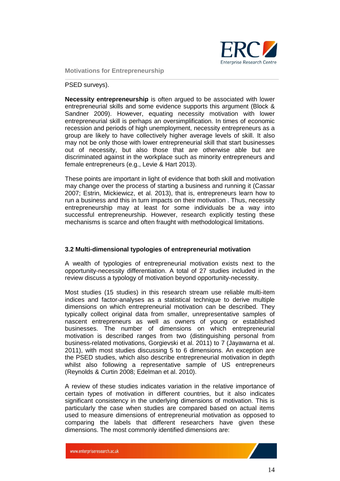

#### PSED surveys).

**Necessity entrepreneurship** is often argued to be associated with lower entrepreneurial skills and some evidence supports this argument (Block & Sandner 2009). However, equating necessity motivation with lower entrepreneurial skill is perhaps an oversimplification. In times of economic recession and periods of high unemployment, necessity entrepreneurs as a group are likely to have collectively higher average levels of skill. It also may not be only those with lower entrepreneurial skill that start businesses out of necessity, but also those that are otherwise able but are discriminated against in the workplace such as minority entrepreneurs and female entrepreneurs (e.g., Levie & Hart 2013).

These points are important in light of evidence that both skill and motivation may change over the process of starting a business and running it (Cassar 2007; Estrin, Mickiewicz, et al. 2013), that is, entrepreneurs learn how to run a business and this in turn impacts on their motivation . Thus, necessity entrepreneurship may at least for some individuals be a way into successful entrepreneurship. However, research explicitly testing these mechanisms is scarce and often fraught with methodological limitations.

#### <span id="page-13-0"></span>**3.2 Multi-dimensional typologies of entrepreneurial motivation**

A wealth of typologies of entrepreneurial motivation exists next to the opportunity-necessity differentiation. A total of 27 studies included in the review discuss a typology of motivation beyond opportunity-necessity.

Most studies (15 studies) in this research stream use reliable multi-item indices and factor-analyses as a statistical technique to derive multiple dimensions on which entrepreneurial motivation can be described. They typically collect original data from smaller, unrepresentative samples of nascent entrepreneurs as well as owners of young or established businesses. The number of dimensions on which entrepreneurial motivation is described ranges from two (distinguishing personal from business-related motivations, Gorgievski et al. 2011) to 7 (Jayawarna et al. 2011), with most studies discussing 5 to 6 dimensions. An exception are the PSED studies, which also describe entrepreneurial motivation in depth whilst also following a representative sample of US entrepreneurs (Reynolds & Curtin 2008; Edelman et al. 2010).

A review of these studies indicates variation in the relative importance of certain types of motivation in different countries, but it also indicates significant consistency in the underlying dimensions of motivation. This is particularly the case when studies are compared based on actual items used to measure dimensions of entrepreneurial motivation as opposed to comparing the labels that different researchers have given these dimensions. The most commonly identified dimensions are: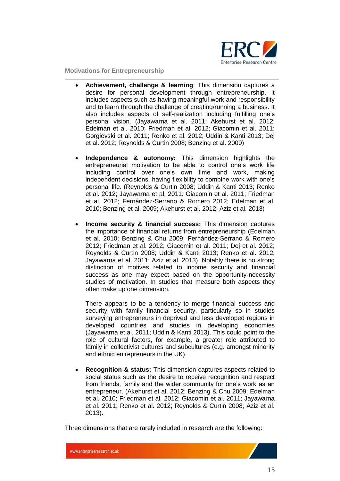

- **Achievement, challenge & learning**: This dimension captures a desire for personal development through entrepreneurship. It includes aspects such as having meaningful work and responsibility and to learn through the challenge of creating/running a business. It also includes aspects of self-realization including fulfilling one's personal vision. (Jayawarna et al. 2011; Akehurst et al. 2012; Edelman et al. 2010; Friedman et al. 2012; Giacomin et al. 2011; Gorgievski et al. 2011; Renko et al. 2012; Uddin & Kanti 2013; Dej et al. 2012; Reynolds & Curtin 2008; Benzing et al. 2009)
- **Independence & autonomy:** This dimension highlights the entrepreneurial motivation to be able to control one's work life including control over one's own time and work, making independent decisions, having flexibility to combine work with one's personal life. (Reynolds & Curtin 2008; Uddin & Kanti 2013; Renko et al. 2012; Jayawarna et al. 2011; Giacomin et al. 2011; Friedman et al. 2012; Fernández-Serrano & Romero 2012; Edelman et al. 2010; Benzing et al. 2009; Akehurst et al. 2012; Aziz et al. 2013)
- **Income security & financial success:** This dimension captures the importance of financial returns from entrepreneurship (Edelman et al. 2010; Benzing & Chu 2009; Fernández-Serrano & Romero 2012; Friedman et al. 2012; Giacomin et al. 2011; Dej et al. 2012; Reynolds & Curtin 2008; Uddin & Kanti 2013; Renko et al. 2012; Jayawarna et al. 2011; Aziz et al. 2013). Notably there is no strong distinction of motives related to income security and financial success as one may expect based on the opportunity-necessity studies of motivation. In studies that measure both aspects they often make up one dimension.

There appears to be a tendency to merge financial success and security with family financial security, particularly so in studies surveying entrepreneurs in deprived and less developed regions in developed countries and studies in developing economies (Jayawarna et al. 2011; Uddin & Kanti 2013). This could point to the role of cultural factors, for example, a greater role attributed to family in collectivist cultures and subcultures (e.g. amongst minority and ethnic entrepreneurs in the UK).

 **Recognition & status:** This dimension captures aspects related to social status such as the desire to receive recognition and respect from friends, family and the wider community for one's work as an entrepreneur. (Akehurst et al. 2012; Benzing & Chu 2009; Edelman et al. 2010; Friedman et al. 2012; Giacomin et al. 2011; Jayawarna et al. 2011; Renko et al. 2012; Reynolds & Curtin 2008; Aziz et al. 2013).

Three dimensions that are rarely included in research are the following: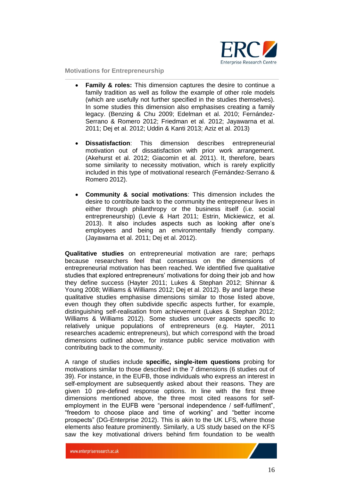

- **Family & roles:** This dimension captures the desire to continue a family tradition as well as follow the example of other role models (which are usefully not further specified in the studies themselves). In some studies this dimension also emphasises creating a family legacy. (Benzing & Chu 2009; Edelman et al. 2010; Fernández-Serrano & Romero 2012; Friedman et al. 2012; Jayawarna et al. 2011; Dej et al. 2012; Uddin & Kanti 2013; Aziz et al. 2013)
- **Dissatisfaction**: This dimension describes entrepreneurial motivation out of dissatisfaction with prior work arrangement. (Akehurst et al. 2012; Giacomin et al. 2011). It, therefore, bears some similarity to necessity motivation, which is rarely explicitly included in this type of motivational research (Fernández-Serrano & Romero 2012).
- **Community & social motivations**: This dimension includes the desire to contribute back to the community the entrepreneur lives in either through philanthropy or the business itself (i.e. social entrepreneurship) (Levie & Hart 2011; Estrin, Mickiewicz, et al. 2013). It also includes aspects such as looking after one's employees and being an environmentally friendly company. (Jayawarna et al. 2011; Dej et al. 2012).

**Qualitative studies** on entrepreneurial motivation are rare; perhaps because researchers feel that consensus on the dimensions of entrepreneurial motivation has been reached. We identified five qualitative studies that explored entrepreneurs' motivations for doing their job and how they define success (Hayter 2011; Lukes & Stephan 2012; Shinnar & Young 2008; Williams & Williams 2012; Dej et al. 2012). By and large these qualitative studies emphasise dimensions similar to those listed above, even though they often subdivide specific aspects further, for example, distinguishing self-realisation from achievement (Lukes & Stephan 2012; Williams & Williams 2012). Some studies uncover aspects specific to relatively unique populations of entrepreneurs (e.g. Hayter, 2011 researches academic entrepreneurs), but which correspond with the broad dimensions outlined above, for instance public service motivation with contributing back to the community.

A range of studies include **specific, single-item questions** probing for motivations similar to those described in the 7 dimensions (6 studies out of 39). For instance, in the EUFB, those individuals who express an interest in self-employment are subsequently asked about their reasons. They are given 10 pre-defined response options. In line with the first three dimensions mentioned above, the three most cited reasons for selfemployment in the EUFB were "personal independence / self-fulfilment", "freedom to choose place and time of working" and "better income prospects" (DG-Enterprise 2012). This is akin to the UK LFS, where those elements also feature prominently. Similarly, a US study based on the KFS saw the key motivational drivers behind firm foundation to be wealth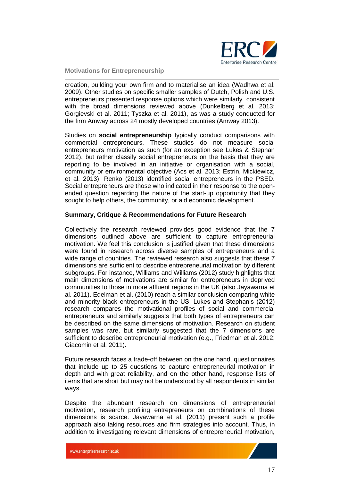

creation, building your own firm and to materialise an idea (Wadhwa et al. 2009). Other studies on specific smaller samples of Dutch, Polish and U.S. entrepreneurs presented response options which were similarly consistent with the broad dimensions reviewed above (Dunkelberg et al. 2013; Gorgievski et al. 2011; Tyszka et al. 2011), as was a study conducted for the firm Amway across 24 mostly developed countries (Amway 2013).

Studies on **social entrepreneurship** typically conduct comparisons with commercial entrepreneurs. These studies do not measure social entrepreneurs motivation as such (for an exception see Lukes & Stephan 2012), but rather classify social entrepreneurs on the basis that they are reporting to be involved in an initiative or organisation with a social, community or environmental objective (Acs et al. 2013; Estrin, Mickiewicz, et al. 2013). Renko (2013) identified social entrepreneurs in the PSED. Social entrepreneurs are those who indicated in their response to the openended question regarding the nature of the start-up opportunity that they sought to help others, the community, or aid economic development. .

#### **Summary, Critique & Recommendations for Future Research**

Collectively the research reviewed provides good evidence that the 7 dimensions outlined above are sufficient to capture entrepreneurial motivation. We feel this conclusion is justified given that these dimensions were found in research across diverse samples of entrepreneurs and a wide range of countries. The reviewed research also suggests that these 7 dimensions are sufficient to describe entrepreneurial motivation by different subgroups. For instance, Williams and Williams (2012) study highlights that main dimensions of motivations are similar for entrepreneurs in deprived communities to those in more affluent regions in the UK (also Jayawarna et al. 2011). Edelman et al. (2010) reach a similar conclusion comparing white and minority black entrepreneurs in the US. Lukes and Stephan's (2012) research compares the motivational profiles of social and commercial entrepreneurs and similarly suggests that both types of entrepreneurs can be described on the same dimensions of motivation. Research on student samples was rare, but similarly suggested that the 7 dimensions are sufficient to describe entrepreneurial motivation (e.g., Friedman et al. 2012; Giacomin et al. 2011).

Future research faces a trade-off between on the one hand, questionnaires that include up to 25 questions to capture entrepreneurial motivation in depth and with great reliability, and on the other hand, response lists of items that are short but may not be understood by all respondents in similar ways.

Despite the abundant research on dimensions of entrepreneurial motivation, research profiling entrepreneurs on combinations of these dimensions is scarce. Jayawarna et al. (2011) present such a profile approach also taking resources and firm strategies into account. Thus, in addition to investigating relevant dimensions of entrepreneurial motivation,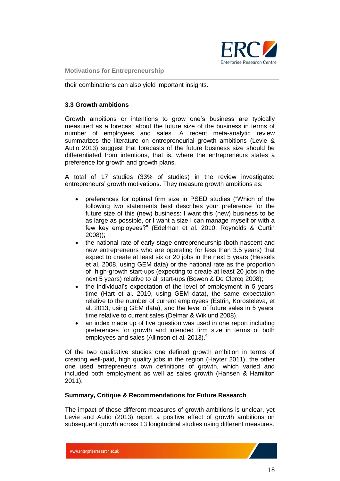

their combinations can also yield important insights.

#### <span id="page-17-0"></span>**3.3 Growth ambitions**

Growth ambitions or intentions to grow one's business are typically measured as a forecast about the future size of the business in terms of number of employees and sales. A recent meta-analytic review summarizes the literature on entrepreneurial growth ambitions (Levie & Autio 2013) suggest that forecasts of the future business size should be differentiated from intentions, that is, where the entrepreneurs states a preference for growth and growth plans.

A total of 17 studies (33% of studies) in the review investigated entrepreneurs' growth motivations. They measure growth ambitions as:

- preferences for optimal firm size in PSED studies ("Which of the following two statements best describes your preference for the future size of this (new) business: I want this (new) business to be as large as possible, or I want a size I can manage myself or with a few key employees?" (Edelman et al. 2010; Reynolds & Curtin 2008));
- the national rate of early-stage entrepreneurship (both nascent and new entrepreneurs who are operating for less than 3.5 years) that expect to create at least six or 20 jobs in the next 5 years (Hessels et al. 2008, using GEM data) or the national rate as the proportion of high-growth start-ups (expecting to create at least 20 jobs in the next 5 years) relative to all start-ups (Bowen & De Clercq 2008);
- the individual's expectation of the level of employment in 5 years' time (Hart et al. 2010, using GEM data), the same expectation relative to the number of current employees (Estrin, Korosteleva, et al. 2013, using GEM data), and the level of future sales in 5 years' time relative to current sales (Delmar & Wiklund 2008).
- an index made up of five question was used in one report including preferences for growth and intended firm size in terms of both employees and sales (Allinson et al. 2013). 4

Of the two qualitative studies one defined growth ambition in terms of creating well-paid, high quality jobs in the region (Hayter 2011), the other one used entrepreneurs own definitions of growth, which varied and included both employment as well as sales growth (Hansen & Hamilton 2011).

#### **Summary, Critique & Recommendations for Future Research**

The impact of these different measures of growth ambitions is unclear, yet Levie and Autio (2013) report a positive effect of growth ambitions on subsequent growth across 13 longitudinal studies using different measures.

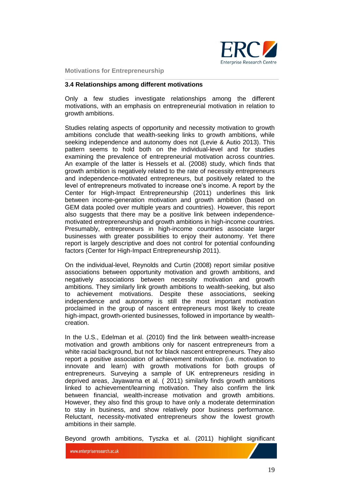

#### <span id="page-18-0"></span>**3.4 Relationships among different motivations**

Only a few studies investigate relationships among the different motivations, with an emphasis on entrepreneurial motivation in relation to growth ambitions.

Studies relating aspects of opportunity and necessity motivation to growth ambitions conclude that wealth-seeking links to growth ambitions, while seeking independence and autonomy does not (Levie & Autio 2013). This pattern seems to hold both on the individual-level and for studies examining the prevalence of entrepreneurial motivation across countries. An example of the latter is Hessels et al. (2008) study, which finds that growth ambition is negatively related to the rate of necessity entrepreneurs and independence-motivated entrepreneurs, but positively related to the level of entrepreneurs motivated to increase one's income. A report by the Center for High-Impact Entrepreneurship (2011) underlines this link between income-generation motivation and growth ambition (based on GEM data pooled over multiple years and countries). However, this report also suggests that there may be a positive link between independencemotivated entrepreneurship and growth ambitions in high-income countries. Presumably, entrepreneurs in high-income countries associate larger businesses with greater possibilities to enjoy their autonomy. Yet there report is largely descriptive and does not control for potential confounding factors (Center for High-Impact Entrepreneurship 2011).

On the individual-level, Reynolds and Curtin (2008) report similar positive associations between opportunity motivation and growth ambitions, and negatively associations between necessity motivation and growth ambitions. They similarly link growth ambitions to wealth-seeking, but also to achievement motivations. Despite these associations, seeking independence and autonomy is still the most important motivation proclaimed in the group of nascent entrepreneurs most likely to create high-impact, growth-oriented businesses, followed in importance by wealthcreation.

In the U.S., Edelman et al. (2010) find the link between wealth-increase motivation and growth ambitions only for nascent entrepreneurs from a white racial background, but not for black nascent entrepreneurs. They also report a positive association of achievement motivation (i.e. motivation to innovate and learn) with growth motivations for both groups of entrepreneurs. Surveying a sample of UK entrepreneurs residing in deprived areas, Jayawarna et al. ( 2011) similarly finds growth ambitions linked to achievement/learning motivation. They also confirm the link between financial, wealth-increase motivation and growth ambitions. However, they also find this group to have only a moderate determination to stay in business, and show relatively poor business performance. Reluctant, necessity-motivated entrepreneurs show the lowest growth ambitions in their sample.

Beyond growth ambitions, Tyszka et al. (2011) highlight significant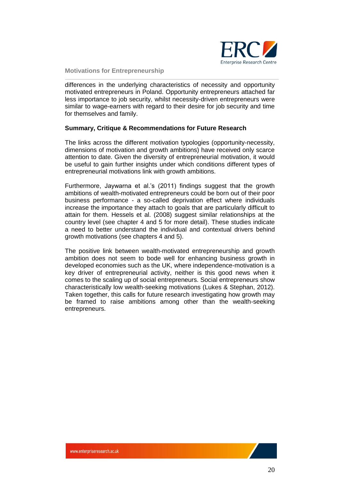

differences in the underlying characteristics of necessity and opportunity motivated entrepreneurs in Poland. Opportunity entrepreneurs attached far less importance to job security, whilst necessity-driven entrepreneurs were similar to wage-earners with regard to their desire for job security and time for themselves and family.

#### **Summary, Critique & Recommendations for Future Research**

The links across the different motivation typologies (opportunity-necessity, dimensions of motivation and growth ambitions) have received only scarce attention to date. Given the diversity of entrepreneurial motivation, it would be useful to gain further insights under which conditions different types of entrepreneurial motivations link with growth ambitions.

Furthermore, Jaywarna et al.'s (2011) findings suggest that the growth ambitions of wealth-motivated entrepreneurs could be born out of their poor business performance - a so-called deprivation effect where individuals increase the importance they attach to goals that are particularly difficult to attain for them. Hessels et al. (2008) suggest similar relationships at the country level (see chapter 4 and 5 for more detail). These studies indicate a need to better understand the individual and contextual drivers behind growth motivations (see chapters 4 and 5).

The positive link between wealth-motivated entrepreneurship and growth ambition does not seem to bode well for enhancing business growth in developed economies such as the UK, where independence-motivation is a key driver of entrepreneurial activity, neither is this good news when it comes to the scaling up of social entrepreneurs. Social entrepreneurs show characteristically low wealth-seeking motivations (Lukes & Stephan, 2012). Taken together, this calls for future research investigating how growth may be framed to raise ambitions among other than the wealth-seeking entrepreneurs.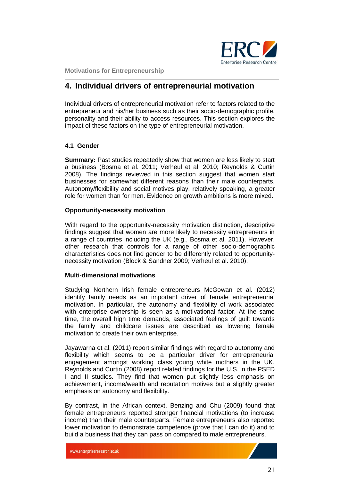

## <span id="page-20-0"></span>**4. Individual drivers of entrepreneurial motivation**

Individual drivers of entrepreneurial motivation refer to factors related to the entrepreneur and his/her business such as their socio-demographic profile, personality and their ability to access resources. This section explores the impact of these factors on the type of entrepreneurial motivation.

#### <span id="page-20-1"></span>**4.1 Gender**

**Summary:** Past studies repeatedly show that women are less likely to start a business (Bosma et al. 2011; Verheul et al. 2010; Reynolds & Curtin 2008). The findings reviewed in this section suggest that women start businesses for somewhat different reasons than their male counterparts. Autonomy/flexibility and social motives play, relatively speaking, a greater role for women than for men. Evidence on growth ambitions is more mixed.

#### **Opportunity-necessity motivation**

With regard to the opportunity-necessity motivation distinction, descriptive findings suggest that women are more likely to necessity entrepreneurs in a range of countries including the UK (e.g., Bosma et al. 2011). However, other research that controls for a range of other socio-demographic characteristics does not find gender to be differently related to opportunitynecessity motivation (Block & Sandner 2009; Verheul et al. 2010).

#### **Multi-dimensional motivations**

Studying Northern Irish female entrepreneurs McGowan et al. (2012) identify family needs as an important driver of female entrepreneurial motivation. In particular, the autonomy and flexibility of work associated with enterprise ownership is seen as a motivational factor. At the same time, the overall high time demands, associated feelings of guilt towards the family and childcare issues are described as lowering female motivation to create their own enterprise.

Jayawarna et al. (2011) report similar findings with regard to autonomy and flexibility which seems to be a particular driver for entrepreneurial engagement amongst working class young white mothers in the UK. Reynolds and Curtin (2008) report related findings for the U.S. in the PSED I and II studies. They find that women put slightly less emphasis on achievement, income/wealth and reputation motives but a slightly greater emphasis on autonomy and flexibility.

By contrast, in the African context, Benzing and Chu (2009) found that female entrepreneurs reported stronger financial motivations (to increase income) than their male counterparts. Female entrepreneurs also reported lower motivation to demonstrate competence (prove that I can do it) and to build a business that they can pass on compared to male entrepreneurs.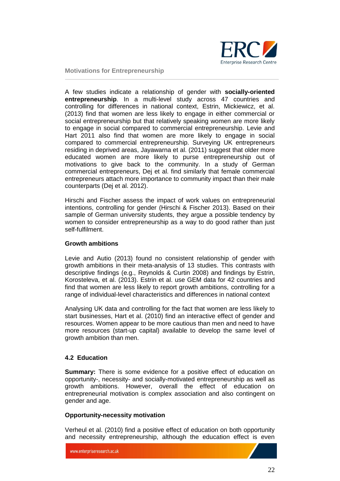

A few studies indicate a relationship of gender with **socially-oriented entrepreneurship**. In a multi-level study across 47 countries and controlling for differences in national context, Estrin, Mickiewicz, et al. (2013) find that women are less likely to engage in either commercial or social entrepreneurship but that relatively speaking women are more likely to engage in social compared to commercial entrepreneurship. Levie and Hart 2011 also find that women are more likely to engage in social compared to commercial entrepreneurship. Surveying UK entrepreneurs residing in deprived areas, Jayawarna et al. (2011) suggest that older more educated women are more likely to purse entrepreneurship out of motivations to give back to the community. In a study of German commercial entrepreneurs, Dej et al. find similarly that female commercial entrepreneurs attach more importance to community impact than their male counterparts (Dej et al. 2012).

Hirschi and Fischer assess the impact of work values on entrepreneurial intentions, controlling for gender (Hirschi & Fischer 2013). Based on their sample of German university students, they argue a possible tendency by women to consider entrepreneurship as a way to do good rather than just self-fulfilment.

#### **Growth ambitions**

Levie and Autio (2013) found no consistent relationship of gender with growth ambitions in their meta-analysis of 13 studies. This contrasts with descriptive findings (e.g., Reynolds & Curtin 2008) and findings by Estrin, Korosteleva, et al. (2013). Estrin et al. use GEM data for 42 countries and find that women are less likely to report growth ambitions, controlling for a range of individual-level characteristics and differences in national context

Analysing UK data and controlling for the fact that women are less likely to start businesses, Hart et al. (2010) find an interactive effect of gender and resources. Women appear to be more cautious than men and need to have more resources (start-up capital) available to develop the same level of growth ambition than men.

#### <span id="page-21-0"></span>**4.2 Education**

**Summary:** There is some evidence for a positive effect of education on opportunity-, necessity- and socially-motivated entrepreneurship as well as growth ambitions. However, overall the effect of education on entrepreneurial motivation is complex association and also contingent on gender and age.

#### **Opportunity-necessity motivation**

Verheul et al. (2010) find a positive effect of education on both opportunity and necessity entrepreneurship, although the education effect is even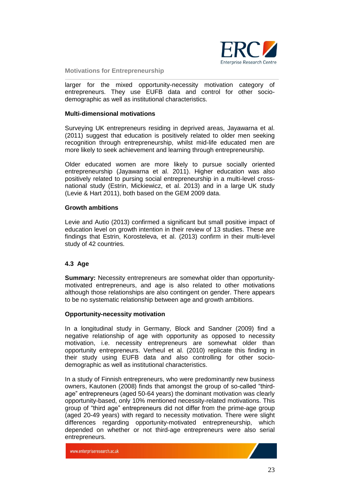

larger for the mixed opportunity-necessity motivation category of entrepreneurs. They use EUFB data and control for other sociodemographic as well as institutional characteristics.

#### **Multi-dimensional motivations**

Surveying UK entrepreneurs residing in deprived areas, Jayawarna et al. (2011) suggest that education is positively related to older men seeking recognition through entrepreneurship, whilst mid-life educated men are more likely to seek achievement and learning through entrepreneurship.

Older educated women are more likely to pursue socially oriented entrepreneurship (Jayawarna et al. 2011). Higher education was also positively related to pursing social entrepreneurship in a multi-level crossnational study (Estrin, Mickiewicz, et al. 2013) and in a large UK study (Levie & Hart 2011), both based on the GEM 2009 data.

#### **Growth ambitions**

Levie and Autio (2013) confirmed a significant but small positive impact of education level on growth intention in their review of 13 studies. These are findings that Estrin, Korosteleva, et al. (2013) confirm in their multi-level study of 42 countries.

#### <span id="page-22-0"></span>**4.3 Age**

**Summary:** Necessity entrepreneurs are somewhat older than opportunitymotivated entrepreneurs, and age is also related to other motivations although those relationships are also contingent on gender. There appears to be no systematic relationship between age and growth ambitions.

#### **Opportunity-necessity motivation**

In a longitudinal study in Germany, Block and Sandner (2009) find a negative relationship of age with opportunity as opposed to necessity motivation, i.e. necessity entrepreneurs are somewhat older than opportunity entrepreneurs. Verheul et al. (2010) replicate this finding in their study using EUFB data and also controlling for other sociodemographic as well as institutional characteristics.

In a study of Finnish entrepreneurs, who were predominantly new business owners, Kautonen (2008) finds that amongst the group of so-called "thirdage" entrepreneurs (aged 50-64 years) the dominant motivation was clearly opportunity-based, only 10% mentioned necessity-related motivations. This group of "third age" entrepreneurs did not differ from the prime-age group (aged 20-49 years) with regard to necessity motivation. There were slight differences regarding opportunity-motivated entrepreneurship, which depended on whether or not third-age entrepreneurs were also serial entrepreneurs.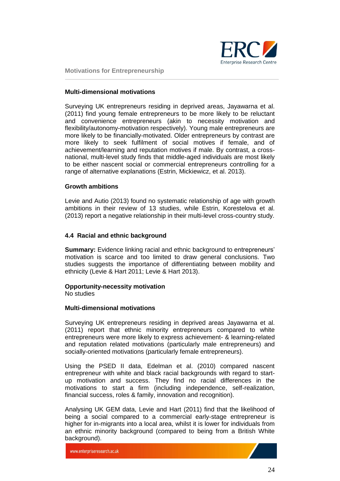

#### **Multi-dimensional motivations**

Surveying UK entrepreneurs residing in deprived areas, Jayawarna et al. (2011) find young female entrepreneurs to be more likely to be reluctant and convenience entrepreneurs (akin to necessity motivation and flexibility/autonomy-motivation respectively). Young male entrepreneurs are more likely to be financially-motivated. Older entrepreneurs by contrast are more likely to seek fulfilment of social motives if female, and of achievement/learning and reputation motives if male. By contrast, a crossnational, multi-level study finds that middle-aged individuals are most likely to be either nascent social or commercial entrepreneurs controlling for a range of alternative explanations (Estrin, Mickiewicz, et al. 2013).

#### **Growth ambitions**

Levie and Autio (2013) found no systematic relationship of age with growth ambitions in their review of 13 studies, while Estrin, Korestelova et al. (2013) report a negative relationship in their multi-level cross-country study.

#### <span id="page-23-0"></span>**4.4 Racial and ethnic background**

**Summary:** Evidence linking racial and ethnic background to entrepreneurs' motivation is scarce and too limited to draw general conclusions. Two studies suggests the importance of differentiating between mobility and ethnicity (Levie & Hart 2011; Levie & Hart 2013).

#### **Opportunity-necessity motivation**

No studies

#### **Multi-dimensional motivations**

Surveying UK entrepreneurs residing in deprived areas Jayawarna et al. (2011) report that ethnic minority entrepreneurs compared to white entrepreneurs were more likely to express achievement- & learning-related and reputation related motivations (particularly male entrepreneurs) and socially-oriented motivations (particularly female entrepreneurs).

Using the PSED II data, Edelman et al. (2010) compared nascent entrepreneur with white and black racial backgrounds with regard to startup motivation and success. They find no racial differences in the motivations to start a firm (including independence, self-realization, financial success, roles & family, innovation and recognition).

Analysing UK GEM data, Levie and Hart (2011) find that the likelihood of being a social compared to a commercial early-stage entrepreneur is higher for in-migrants into a local area, whilst it is lower for individuals from an ethnic minority background (compared to being from a British White background).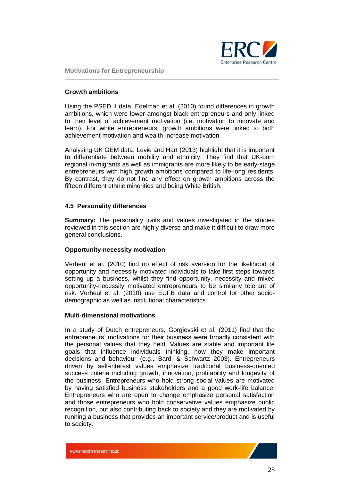

#### **Growth ambitions**

Using the PSED II data, Edelman et al. (2010) found differences in growth ambitions, which were lower amongst black entrepreneurs and only linked to their level of achievement motivation (i.e. motivation to innovate and learn). For white entrepreneurs, growth ambitions were linked to both achievement motivation and wealth-increase motivation.

Analysing UK GEM data, Levie and Hart (2013) highlight that it is important to differentiate between mobility and ethnicity. They find that UK-born regional in-migrants as well as immigrants are more likely to be early-stage entrepreneurs with high growth ambitions compared to life-long residents. By contrast, they do not find any effect on growth ambitions across the fifteen different ethnic minorities and being White British.

#### <span id="page-24-0"></span>**4.5 Personality differences**

**Summary:** The personality traits and values investigated in the studies reviewed in this section are highly diverse and make it difficult to draw more general conclusions.

#### **Opportunity-necessity motivation**

Verheul et al. (2010) find no effect of risk aversion for the likelihood of opportunity and necessity-motivated individuals to take first steps towards setting up a business, whilst they find opportunity, necessity and mixed opportunity-necessity motivated entrepreneurs to be similarly tolerant of risk. Verheul et al. (2010) use EUFB data and control for other sociodemographic as well as institutional characteristics.

#### **Multi-dimensional motivations**

In a study of Dutch entrepreneurs, Gorgievski et al. (2011) find that the entrepreneurs' motivations for their business were broadly consistent with the personal values that they held. Values are stable and important life goals that influence individuals thinking, how they make important decisions and behaviour (e.g., Bardi & Schwartz 2003). Entrepreneurs driven by self-interest values emphasize traditional business-oriented success criteria including growth, innovation, profitability and longevity of the business. Entrepreneurs who hold strong social values are motivated by having satisfied business stakeholders and a good work-life balance. Entrepreneurs who are open to change emphasize personal satisfaction and those entrepreneurs who hold conservative values emphasize public recognition, but also contributing back to society and they are motivated by running a business that provides an important service/product and is useful to society.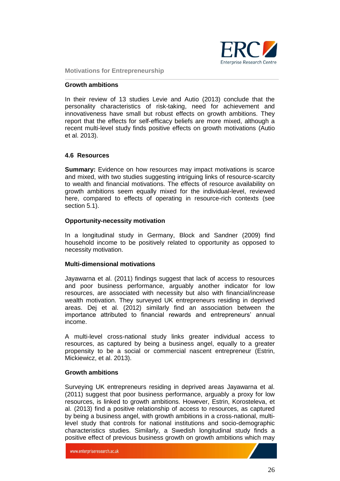

#### **Growth ambitions**

In their review of 13 studies Levie and Autio (2013) conclude that the personality characteristics of risk-taking, need for achievement and innovativeness have small but robust effects on growth ambitions. They report that the effects for self-efficacy beliefs are more mixed, although a recent multi-level study finds positive effects on growth motivations (Autio et al. 2013).

#### <span id="page-25-0"></span>**4.6 Resources**

**Summary:** Evidence on how resources may impact motivations is scarce and mixed, with two studies suggesting intriguing links of resource-scarcity to wealth and financial motivations. The effects of resource availability on growth ambitions seem equally mixed for the individual-level, reviewed here, compared to effects of operating in resource-rich contexts (see section 5.1).

#### **Opportunity-necessity motivation**

In a longitudinal study in Germany, Block and Sandner (2009) find household income to be positively related to opportunity as opposed to necessity motivation.

#### **Multi-dimensional motivations**

Jayawarna et al. (2011) findings suggest that lack of access to resources and poor business performance, arguably another indicator for low resources, are associated with necessity but also with financial/increase wealth motivation. They surveyed UK entrepreneurs residing in deprived areas. Dej et al. (2012) similarly find an association between the importance attributed to financial rewards and entrepreneurs' annual income.

A multi-level cross-national study links greater individual access to resources, as captured by being a business angel, equally to a greater propensity to be a social or commercial nascent entrepreneur (Estrin, Mickiewicz, et al. 2013).

#### **Growth ambitions**

Surveying UK entrepreneurs residing in deprived areas Jayawarna et al. (2011) suggest that poor business performance, arguably a proxy for low resources, is linked to growth ambitions. However, Estrin, Korosteleva, et al. (2013) find a positive relationship of access to resources, as captured by being a business angel, with growth ambitions in a cross-national, multilevel study that controls for national institutions and socio-demographic characteristics studies. Similarly, a Swedish longitudinal study finds a positive effect of previous business growth on growth ambitions which may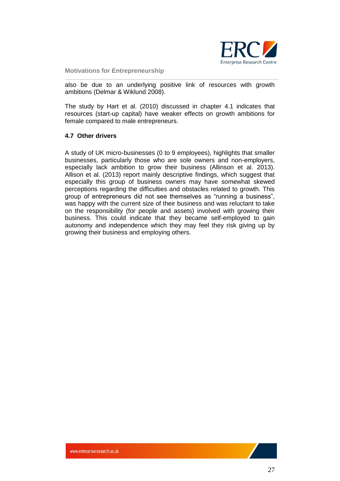

also be due to an underlying positive link of resources with growth ambitions (Delmar & Wiklund 2008).

The study by Hart et al. (2010) discussed in chapter 4.1 indicates that resources (start-up capital) have weaker effects on growth ambitions for female compared to male entrepreneurs.

#### <span id="page-26-0"></span>**4.7 Other drivers**

A study of UK micro-businesses (0 to 9 employees), highlights that smaller businesses, particularly those who are sole owners and non-employers, especially lack ambition to grow their business (Allinson et al. 2013). Allison et al. (2013) report mainly descriptive findings, which suggest that especially this group of business owners may have somewhat skewed perceptions regarding the difficulties and obstacles related to growth. This group of entrepreneurs did not see themselves as "running a business", was happy with the current size of their business and was reluctant to take on the responsibility (for people and assets) involved with growing their business. This could indicate that they became self-employed to gain autonomy and independence which they may feel they risk giving up by growing their business and employing others.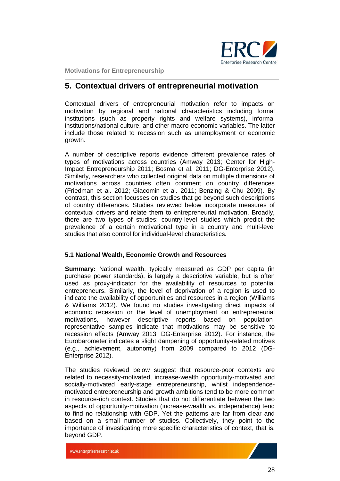

## <span id="page-27-0"></span>**5. Contextual drivers of entrepreneurial motivation**

Contextual drivers of entrepreneurial motivation refer to impacts on motivation by regional and national characteristics including formal institutions (such as property rights and welfare systems), informal institutions/national culture, and other macro-economic variables. The latter include those related to recession such as unemployment or economic growth.

A number of descriptive reports evidence different prevalence rates of types of motivations across countries (Amway 2013; Center for High-Impact Entrepreneurship 2011; Bosma et al. 2011; DG-Enterprise 2012). Similarly, researchers who collected original data on multiple dimensions of motivations across countries often comment on country differences (Friedman et al. 2012; Giacomin et al. 2011; Benzing & Chu 2009). By contrast, this section focusses on studies that go beyond such descriptions of country differences. Studies reviewed below incorporate measures of contextual drivers and relate them to entrepreneurial motivation. Broadly, there are two types of studies: country-level studies which predict the prevalence of a certain motivational type in a country and multi-level studies that also control for individual-level characteristics.

#### <span id="page-27-1"></span>**5.1 National Wealth, Economic Growth and Resources**

**Summary:** National wealth, typically measured as GDP per capita (in purchase power standards), is largely a descriptive variable, but is often used as proxy-indicator for the availability of resources to potential entrepreneurs. Similarly, the level of deprivation of a region is used to indicate the availability of opportunities and resources in a region (Williams & Williams 2012). We found no studies investigating direct impacts of economic recession or the level of unemployment on entrepreneurial motivations, however descriptive reports based on populationrepresentative samples indicate that motivations may be sensitive to recession effects (Amway 2013; DG-Enterprise 2012). For instance, the Eurobarometer indicates a slight dampening of opportunity-related motives (e.g., achievement, autonomy) from 2009 compared to 2012 (DG-Enterprise 2012).

The studies reviewed below suggest that resource-poor contexts are related to necessity-motivated, increase-wealth opportunity-motivated and socially-motivated early-stage entrepreneurship, whilst independencemotivated entrepreneurship and growth ambitions tend to be more common in resource-rich context. Studies that do not differentiate between the two aspects of opportunity-motivation (increase-wealth vs. independence) tend to find no relationship with GDP. Yet the patterns are far from clear and based on a small number of studies. Collectively, they point to the importance of investigating more specific characteristics of context, that is, beyond GDP.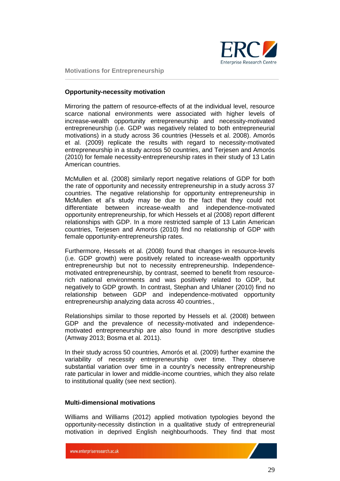

#### **Opportunity-necessity motivation**

Mirroring the pattern of resource-effects of at the individual level, resource scarce national environments were associated with higher levels of increase-wealth opportunity entrepreneurship and necessity-motivated entrepreneurship (i.e. GDP was negatively related to both entrepreneurial motivations) in a study across 36 countries (Hessels et al. 2008). Amorós et al. (2009) replicate the results with regard to necessity-motivated entrepreneurship in a study across 50 countries, and Terjesen and Amorós (2010) for female necessity-entrepreneurship rates in their study of 13 Latin American countries.

McMullen et al. (2008) similarly report negative relations of GDP for both the rate of opportunity and necessity entrepreneurship in a study across 37 countries. The negative relationship for opportunity entrepreneurship in McMullen et al's study may be due to the fact that they could not differentiate between increase-wealth and independence-motivated opportunity entrepreneurship, for which Hessels et al (2008) report different relationships with GDP. In a more restricted sample of 13 Latin American countries, Terjesen and Amorós (2010) find no relationship of GDP with female opportunity-entrepreneurship rates.

Furthermore, Hessels et al. (2008) found that changes in resource-levels (i.e. GDP growth) were positively related to increase-wealth opportunity entrepreneurship but not to necessity entrepreneurship. Independencemotivated entrepreneurship, by contrast, seemed to benefit from resourcerich national environments and was positively related to GDP, but negatively to GDP growth. In contrast, Stephan and Uhlaner (2010) find no relationship between GDP and independence-motivated opportunity entrepreneurship analyzing data across 40 countries.,

Relationships similar to those reported by Hessels et al. (2008) between GDP and the prevalence of necessity-motivated and independencemotivated entrepreneurship are also found in more descriptive studies (Amway 2013; Bosma et al. 2011).

In their study across 50 countries, Amorós et al. (2009) further examine the variability of necessity entrepreneurship over time. They observe substantial variation over time in a country's necessity entrepreneurship rate particular in lower and middle-income countries, which they also relate to institutional quality (see next section).

#### **Multi-dimensional motivations**

Williams and Williams (2012) applied motivation typologies beyond the opportunity-necessity distinction in a qualitative study of entrepreneurial motivation in deprived English neighbourhoods. They find that most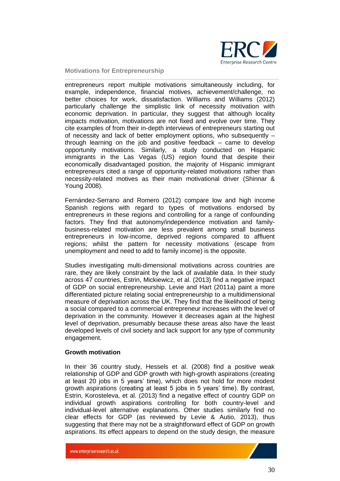

entrepreneurs report multiple motivations simultaneously including, for example, independence, financial motives, achievement/challenge, no better choices for work, dissatisfaction. Williams and Williams (2012) particularly challenge the simplistic link of necessity motivation with economic deprivation. In particular, they suggest that although locality impacts motivation, motivations are not fixed and evolve over time. They cite examples of from their in-depth interviews of entrepreneurs starting out of necessity and lack of better employment options, who subsequently – through learning on the job and positive feedback – came to develop opportunity motivations. Similarly, a study conducted on Hispanic immigrants in the Las Vegas (US) region found that despite their economically disadvantaged position, the majority of Hispanic immigrant entrepreneurs cited a range of opportunity-related motivations rather than necessity-related motives as their main motivational driver (Shinnar & Young 2008).

Fernández-Serrano and Romero (2012) compare low and high income Spanish regions with regard to types of motivations endorsed by entrepreneurs in these regions and controlling for a range of confounding factors. They find that autonomy/independence motivation and familybusiness-related motivation are less prevalent among small business entrepreneurs in low-income, deprived regions compared to affluent regions; whilst the pattern for necessity motivations (escape from unemployment and need to add to family income) is the opposite.

Studies investigating multi-dimensional motivations across countries are rare, they are likely constraint by the lack of available data. In their study across 47 countries, Estrin, Mickiewicz, et al. (2013) find a negative impact of GDP on social entrepreneurship. Levie and Hart (2011a) paint a more differentiated picture relating social entrepreneurship to a multidimensional measure of deprivation across the UK. They find that the likelihood of being a social compared to a commercial entrepreneur increases with the level of deprivation in the community. However it decreases again at the highest level of deprivation, presumably because these areas also have the least developed levels of civil society and lack support for any type of community engagement.

#### **Growth motivation**

In their 36 country study, Hessels et al. (2008) find a positive weak relationship of GDP and GDP growth with high-growth aspirations (creating at least 20 jobs in 5 years' time), which does not hold for more modest growth aspirations (creating at least 5 jobs in 5 years' time). By contrast, Estrin, Korosteleva, et al. (2013) find a negative effect of country GDP on individual growth aspirations controlling for both country-level and individual-level alternative explanations. Other studies similarly find no clear effects for GDP (as reviewed by Levie & Autio, 2013), thus suggesting that there may not be a straightforward effect of GDP on growth aspirations. Its effect appears to depend on the study design, the measure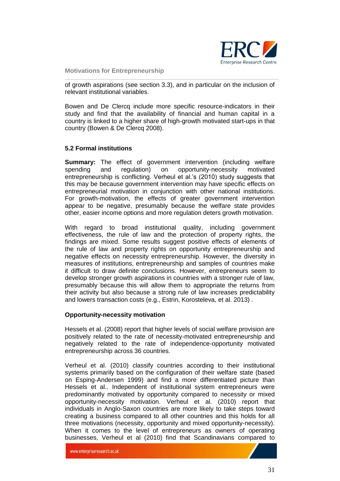

of growth aspirations (see section 3.3), and in particular on the inclusion of relevant institutional variables.

Bowen and De Clercq include more specific resource-indicators in their study and find that the availability of financial and human capital in a country is linked to a higher share of high-growth motivated start-ups in that country (Bowen & De Clercq 2008).

#### <span id="page-30-0"></span>**5.2 Formal institutions**

**Summary:** The effect of government intervention (including welfare spending and regulation) on opportunity-necessity motivated entrepreneurship is conflicting. Verheul et al.'s (2010) study suggests that this may be because government intervention may have specific effects on entrepreneurial motivation in conjunction with other national institutions. For growth-motivation, the effects of greater government intervention appear to be negative, presumably because the welfare state provides other, easier income options and more regulation deters growth motivation.

With regard to broad institutional quality, including government effectiveness, the rule of law and the protection of property rights, the findings are mixed. Some results suggest positive effects of elements of the rule of law and property rights on opportunity entrepreneurship and negative effects on necessity entrepreneurship. However, the diversity in measures of institutions, entrepreneurship and samples of countries make it difficult to draw definite conclusions. However, entrepreneurs seem to develop stronger growth aspirations in countries with a stronger rule of law, presumably because this will allow them to appropriate the returns from their activity but also because a strong rule of law increases predictability and lowers transaction costs (e.g., Estrin, Korosteleva, et al. 2013) .

#### **Opportunity-necessity motivation**

Hessels et al. (2008) report that higher levels of social welfare provision are positively related to the rate of necessity-motivated entrepreneurship and negatively related to the rate of independence-opportunity motivated entrepreneurship across 36 countries.

Verheul et al. (2010) classify countries according to their institutional systems primarily based on the configuration of their welfare state (based on Esping-Andersen 1999) and find a more differentiated picture than Hessels et al.. Independent of institutional system entrepreneurs were predominantly motivated by opportunity compared to necessity or mixed opportunity-necessity motivation. Verheul et al. (2010) report that individuals in Anglo-Saxon countries are more likely to take steps toward creating a business compared to all other countries and this holds for all three motivations (necessity, opportunity and mixed opportunity-necessity). When it comes to the level of entrepreneurs as owners of operating businesses, Verheul et al (2010) find that Scandinavians compared to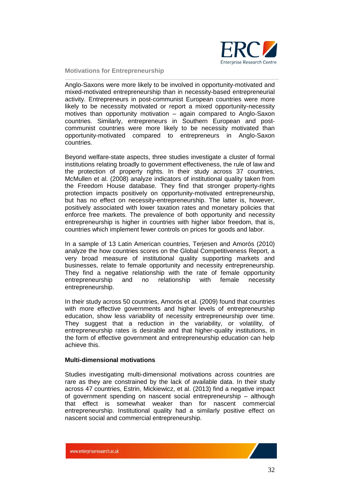

Anglo-Saxons were more likely to be involved in opportunity-motivated and mixed-motivated entrepreneurship than in necessity-based entrepreneurial activity. Entrepreneurs in post-communist European countries were more likely to be necessity motivated or report a mixed opportunity-necessity motives than opportunity motivation – again compared to Anglo-Saxon countries. Similarly, entrepreneurs in Southern European and postcommunist countries were more likely to be necessity motivated than opportunity-motivated compared to entrepreneurs in Anglo-Saxon countries.

Beyond welfare-state aspects, three studies investigate a cluster of formal institutions relating broadly to government effectiveness, the rule of law and the protection of property rights. In their study across 37 countries, McMullen et al. (2008) analyze indicators of institutional quality taken from the Freedom House database. They find that stronger property-rights protection impacts positively on opportunity-motivated entrepreneurship, but has no effect on necessity-entrepreneurship. The latter is, however, positively associated with lower taxation rates and monetary policies that enforce free markets. The prevalence of both opportunity and necessity entrepreneurship is higher in countries with higher labor freedom, that is, countries which implement fewer controls on prices for goods and labor.

In a sample of 13 Latin American countries, Terjesen and Amorós (2010) analyze the how countries scores on the Global Competitiveness Report, a very broad measure of institutional quality supporting markets and businesses, relate to female opportunity and necessity entrepreneurship. They find a negative relationship with the rate of female opportunity entrepreneurship and no relationship with female necessity entrepreneurship.

In their study across 50 countries, Amorós et al. (2009) found that countries with more effective governments and higher levels of entrepreneurship education, show less variability of necessity entrepreneurship over time. They suggest that a reduction in the variability, or volatility, of entrepreneurship rates is desirable and that higher-quality institutions, in the form of effective government and entrepreneurship education can help achieve this.

#### **Multi-dimensional motivations**

Studies investigating multi-dimensional motivations across countries are rare as they are constrained by the lack of available data. In their study across 47 countries, Estrin, Mickiewicz, et al. (2013) find a negative impact of government spending on nascent social entrepreneurship – although that effect is somewhat weaker than for nascent commercial entrepreneurship. Institutional quality had a similarly positive effect on nascent social and commercial entrepreneurship.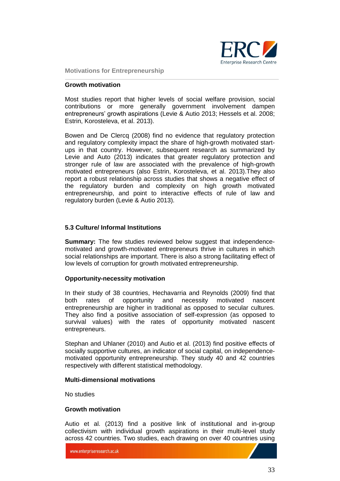

#### **Growth motivation**

Most studies report that higher levels of social welfare provision, social contributions or more generally government involvement dampen entrepreneurs' growth aspirations (Levie & Autio 2013; Hessels et al. 2008; Estrin, Korosteleva, et al. 2013).

Bowen and De Clercq (2008) find no evidence that regulatory protection and regulatory complexity impact the share of high-growth motivated startups in that country. However, subsequent research as summarized by Levie and Auto (2013) indicates that greater regulatory protection and stronger rule of law are associated with the prevalence of high-growth motivated entrepreneurs (also Estrin, Korosteleva, et al. 2013).They also report a robust relationship across studies that shows a negative effect of the regulatory burden and complexity on high growth motivated entrepreneurship, and point to interactive effects of rule of law and regulatory burden (Levie & Autio 2013).

#### <span id="page-32-0"></span>**5.3 Culture/ Informal Institutions**

**Summary:** The few studies reviewed below suggest that independencemotivated and growth-motivated entrepreneurs thrive in cultures in which social relationships are important. There is also a strong facilitating effect of low levels of corruption for growth motivated entrepreneurship.

#### **Opportunity-necessity motivation**

In their study of 38 countries, Hechavarria and Reynolds (2009) find that both rates of opportunity and necessity motivated nascent entrepreneurship are higher in traditional as opposed to secular cultures. They also find a positive association of self-expression (as opposed to survival values) with the rates of opportunity motivated nascent entrepreneurs.

Stephan and Uhlaner (2010) and Autio et al. (2013) find positive effects of socially supportive cultures, an indicator of social capital, on independencemotivated opportunity entrepreneurship. They study 40 and 42 countries respectively with different statistical methodology.

#### **Multi-dimensional motivations**

No studies

#### **Growth motivation**

Autio et al. (2013) find a positive link of institutional and in-group collectivism with individual growth aspirations in their multi-level study across 42 countries. Two studies, each drawing on over 40 countries using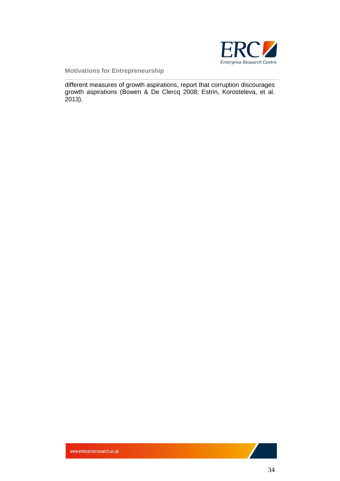

different measures of growth aspirations, report that corruption discourages growth aspirations (Bowen & De Clercq 2008; Estrin, Korosteleva, et al. 2013).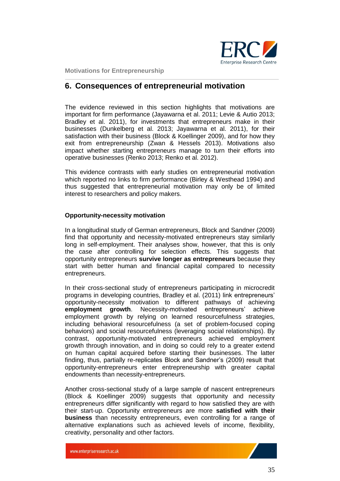

### <span id="page-34-0"></span>**6. Consequences of entrepreneurial motivation**

The evidence reviewed in this section highlights that motivations are important for firm performance (Jayawarna et al. 2011; Levie & Autio 2013; Bradley et al. 2011), for investments that entrepreneurs make in their businesses (Dunkelberg et al. 2013; Jayawarna et al. 2011), for their satisfaction with their business (Block & Koellinger 2009), and for how they exit from entrepreneurship (Zwan & Hessels 2013). Motivations also impact whether starting entrepreneurs manage to turn their efforts into operative businesses (Renko 2013; Renko et al. 2012).

This evidence contrasts with early studies on entrepreneurial motivation which reported no links to firm performance (Birley & Westhead 1994) and thus suggested that entrepreneurial motivation may only be of limited interest to researchers and policy makers.

#### **Opportunity-necessity motivation**

In a longitudinal study of German entrepreneurs, Block and Sandner (2009) find that opportunity and necessity-motivated entrepreneurs stay similarly long in self-employment. Their analyses show, however, that this is only the case after controlling for selection effects. This suggests that opportunity entrepreneurs **survive longer as entrepreneurs** because they start with better human and financial capital compared to necessity entrepreneurs.

In their cross-sectional study of entrepreneurs participating in microcredit programs in developing countries, Bradley et al. (2011) link entrepreneurs' opportunity-necessity motivation to different pathways of achieving **employment growth**. Necessity-motivated entrepreneurs' achieve employment growth by relying on learned resourcefulness strategies, including behavioral resourcefulness (a set of problem-focused coping behaviors) and social resourcefulness (leveraging social relationships). By contrast, opportunity-motivated entrepreneurs achieved employment growth through innovation, and in doing so could rely to a greater extend on human capital acquired before starting their businesses. The latter finding, thus, partially re-replicates Block and Sandner's (2009) result that opportunity-entrepreneurs enter entrepreneurship with greater capital endowments than necessity-entrepreneurs.

Another cross-sectional study of a large sample of nascent entrepreneurs (Block & Koellinger 2009) suggests that opportunity and necessity entrepreneurs differ significantly with regard to how satisfied they are with their start-up. Opportunity entrepreneurs are more **satisfied with their business** than necessity entrepreneurs, even controlling for a range of alternative explanations such as achieved levels of income, flexibility, creativity, personality and other factors.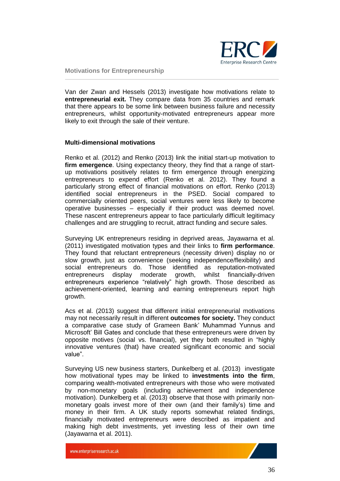

Van der Zwan and Hessels (2013) investigate how motivations relate to **entrepreneurial exit.** They compare data from 35 countries and remark that there appears to be some link between business failure and necessity entrepreneurs, whilst opportunity-motivated entrepreneurs appear more likely to exit through the sale of their venture.

#### **Multi-dimensional motivations**

Renko et al. (2012) and Renko (2013) link the initial start-up motivation to **firm emergence**. Using expectancy theory, they find that a range of startup motivations positively relates to firm emergence through energizing entrepreneurs to expend effort (Renko et al. 2012). They found a particularly strong effect of financial motivations on effort. Renko (2013) identified social entrepreneurs in the PSED. Social compared to commercially oriented peers, social ventures were less likely to become operative businesses – especially if their product was deemed novel. These nascent entrepreneurs appear to face particularly difficult legitimacy challenges and are struggling to recruit, attract funding and secure sales.

Surveying UK entrepreneurs residing in deprived areas, Jayawarna et al. (2011) investigated motivation types and their links to **firm performance**. They found that reluctant entrepreneurs (necessity driven) display no or slow growth, just as convenience (seeking independence/flexibility) and social entrepreneurs do. Those identified as reputation-motivated entrepreneurs display moderate growth, whilst financially-driven entrepreneurs experience "relatively" high growth. Those described as achievement-oriented, learning and earning entrepreneurs report high growth.

Acs et al. (2013) suggest that different initial entrepreneurial motivations may not necessarily result in different **outcomes for society.** They conduct a comparative case study of Grameen Bank' Muhammad Yunnus and Microsoft' Bill Gates and conclude that these entrepreneurs were driven by opposite motives (social vs. financial), yet they both resulted in "highly innovative ventures (that) have created significant economic and social value".

Surveying US new business starters, Dunkelberg et al. (2013) investigate how motivational types may be linked to **investments into the firm**, comparing wealth-motivated entrepreneurs with those who were motivated by non-monetary goals (including achievement and independence motivation). Dunkelberg et al. (2013) observe that those with primarily nonmonetary goals invest more of their own (and their family's) time and money in their firm. A UK study reports somewhat related findings, financially motivated entrepreneurs were described as impatient and making high debt investments, yet investing less of their own time (Jayawarna et al. 2011).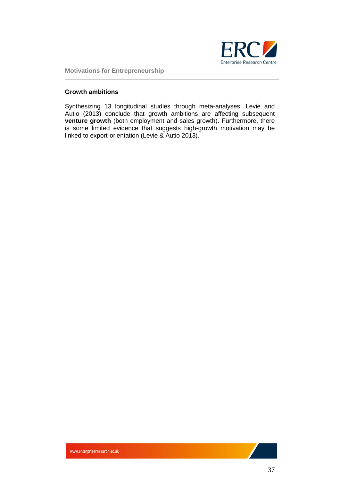

#### **Growth ambitions**

Synthesizing 13 longitudinal studies through meta-analyses, Levie and Autio (2013) conclude that growth ambitions are affecting subsequent **venture growth** (both employment and sales growth). Furthermore, there is some limited evidence that suggests high-growth motivation may be linked to export-orientation (Levie & Autio 2013).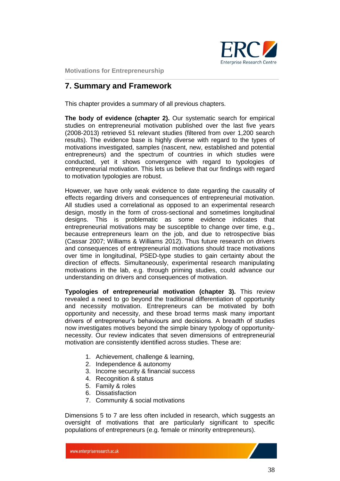

## <span id="page-37-0"></span>**7. Summary and Framework**

This chapter provides a summary of all previous chapters.

**The body of evidence (chapter 2).** Our systematic search for empirical studies on entrepreneurial motivation published over the last five years (2008-2013) retrieved 51 relevant studies (filtered from over 1,200 search results). The evidence base is highly diverse with regard to the types of motivations investigated, samples (nascent, new, established and potential entrepreneurs) and the spectrum of countries in which studies were conducted, yet it shows convergence with regard to typologies of entrepreneurial motivation. This lets us believe that our findings with regard to motivation typologies are robust.

However, we have only weak evidence to date regarding the causality of effects regarding drivers and consequences of entrepreneurial motivation. All studies used a correlational as opposed to an experimental research design, mostly in the form of cross-sectional and sometimes longitudinal designs. This is problematic as some evidence indicates that entrepreneurial motivations may be susceptible to change over time, e.g., because entrepreneurs learn on the job, and due to retrospective bias (Cassar 2007; Williams & Williams 2012). Thus future research on drivers and consequences of entrepreneurial motivations should trace motivations over time in longitudinal, PSED-type studies to gain certainty about the direction of effects. Simultaneously, experimental research manipulating motivations in the lab, e.g. through priming studies, could advance our understanding on drivers and consequences of motivation.

**Typologies of entrepreneurial motivation (chapter 3).** This review revealed a need to go beyond the traditional differentiation of opportunity and necessity motivation. Entrepreneurs can be motivated by both opportunity and necessity, and these broad terms mask many important drivers of entrepreneur's behaviours and decisions. A breadth of studies now investigates motives beyond the simple binary typology of opportunitynecessity. Our review indicates that seven dimensions of entrepreneurial motivation are consistently identified across studies. These are:

- 1. Achievement, challenge & learning,
- 2. Independence & autonomy
- 3. Income security & financial success
- 4. Recognition & status
- 5. Family & roles
- 6. Dissatisfaction
- 7. Community & social motivations

Dimensions 5 to 7 are less often included in research, which suggests an oversight of motivations that are particularly significant to specific populations of entrepreneurs (e.g. female or minority entrepreneurs).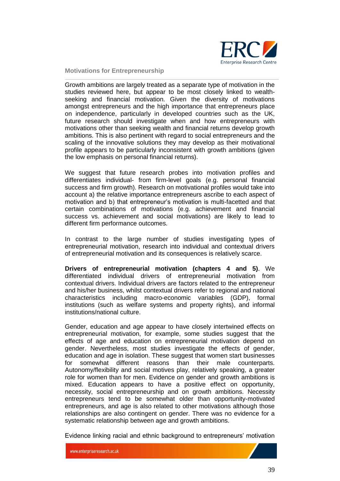

Growth ambitions are largely treated as a separate type of motivation in the studies reviewed here, but appear to be most closely linked to wealthseeking and financial motivation. Given the diversity of motivations amongst entrepreneurs and the high importance that entrepreneurs place on independence, particularly in developed countries such as the UK, future research should investigate when and how entrepreneurs with motivations other than seeking wealth and financial returns develop growth ambitions. This is also pertinent with regard to social entrepreneurs and the scaling of the innovative solutions they may develop as their motivational profile appears to be particularly inconsistent with growth ambitions (given the low emphasis on personal financial returns).

We suggest that future research probes into motivation profiles and differentiates individual- from firm-level goals (e.g. personal financial success and firm growth). Research on motivational profiles would take into account a) the relative importance entrepreneurs ascribe to each aspect of motivation and b) that entrepreneur's motivation is multi-facetted and that certain combinations of motivations (e.g. achievement and financial success vs. achievement and social motivations) are likely to lead to different firm performance outcomes.

In contrast to the large number of studies investigating types of entrepreneurial motivation, research into individual and contextual drivers of entrepreneurial motivation and its consequences is relatively scarce.

**Drivers of entrepreneurial motivation (chapters 4 and 5)**. We differentiated individual drivers of entrepreneurial motivation from contextual drivers. Individual drivers are factors related to the entrepreneur and his/her business, whilst contextual drivers refer to regional and national characteristics including macro-economic variables (GDP), formal institutions (such as welfare systems and property rights), and informal institutions/national culture.

Gender, education and age appear to have closely intertwined effects on entrepreneurial motivation, for example, some studies suggest that the effects of age and education on entrepreneurial motivation depend on gender. Nevertheless, most studies investigate the effects of gender, education and age in isolation. These suggest that women start businesses for somewhat different reasons than their male counterparts. Autonomy/flexibility and social motives play, relatively speaking, a greater role for women than for men. Evidence on gender and growth ambitions is mixed. Education appears to have a positive effect on opportunity, necessity, social entrepreneurship and on growth ambitions. Necessity entrepreneurs tend to be somewhat older than opportunity-motivated entrepreneurs, and age is also related to other motivations although those relationships are also contingent on gender. There was no evidence for a systematic relationship between age and growth ambitions.

Evidence linking racial and ethnic background to entrepreneurs' motivation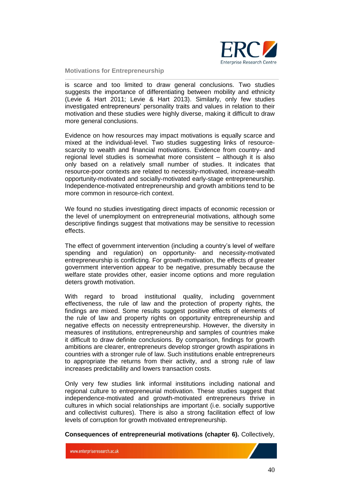

is scarce and too limited to draw general conclusions. Two studies suggests the importance of differentiating between mobility and ethnicity (Levie & Hart 2011; Levie & Hart 2013). Similarly, only few studies investigated entrepreneurs' personality traits and values in relation to their motivation and these studies were highly diverse, making it difficult to draw more general conclusions.

Evidence on how resources may impact motivations is equally scarce and mixed at the individual-level. Two studies suggesting links of resourcescarcity to wealth and financial motivations. Evidence from country- and regional level studies is somewhat more consistent – although it is also only based on a relatively small number of studies. It indicates that resource-poor contexts are related to necessity-motivated, increase-wealth opportunity-motivated and socially-motivated early-stage entrepreneurship. Independence-motivated entrepreneurship and growth ambitions tend to be more common in resource-rich context.

We found no studies investigating direct impacts of economic recession or the level of unemployment on entrepreneurial motivations, although some descriptive findings suggest that motivations may be sensitive to recession effects.

The effect of government intervention (including a country's level of welfare spending and regulation) on opportunity- and necessity-motivated entrepreneurship is conflicting. For growth-motivation, the effects of greater government intervention appear to be negative, presumably because the welfare state provides other, easier income options and more regulation deters growth motivation.

With regard to broad institutional quality, including government effectiveness, the rule of law and the protection of property rights, the findings are mixed. Some results suggest positive effects of elements of the rule of law and property rights on opportunity entrepreneurship and negative effects on necessity entrepreneurship. However, the diversity in measures of institutions, entrepreneurship and samples of countries make it difficult to draw definite conclusions. By comparison, findings for growth ambitions are clearer, entrepreneurs develop stronger growth aspirations in countries with a stronger rule of law. Such institutions enable entrepreneurs to appropriate the returns from their activity, and a strong rule of law increases predictability and lowers transaction costs.

Only very few studies link informal institutions including national and regional culture to entrepreneurial motivation. These studies suggest that independence-motivated and growth-motivated entrepreneurs thrive in cultures in which social relationships are important (i.e. socially supportive and collectivist cultures). There is also a strong facilitation effect of low levels of corruption for growth motivated entrepreneurship.

**Consequences of entrepreneurial motivations (chapter 6).** Collectively,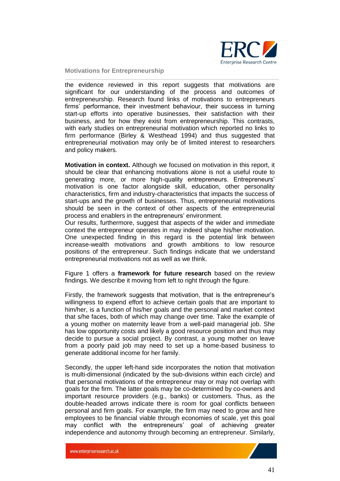

the evidence reviewed in this report suggests that motivations are significant for our understanding of the process and outcomes of entrepreneurship. Research found links of motivations to entrepreneurs firms' performance, their investment behaviour, their success in turning start-up efforts into operative businesses, their satisfaction with their business, and for how they exist from entrepreneurship. This contrasts, with early studies on entrepreneurial motivation which reported no links to firm performance (Birley & Westhead 1994) and thus suggested that entrepreneurial motivation may only be of limited interest to researchers and policy makers.

**Motivation in context.** Although we focused on motivation in this report, it should be clear that enhancing motivations alone is not a useful route to generating more, or more high-quality entrepreneurs. Entrepreneurs' motivation is one factor alongside skill, education, other personality characteristics, firm and industry-characteristics that impacts the success of start-ups and the growth of businesses. Thus, entrepreneurial motivations should be seen in the context of other aspects of the entrepreneurial process and enablers in the entrepreneurs' environment.

Our results, furthermore, suggest that aspects of the wider and immediate context the entrepreneur operates in may indeed shape his/her motivation. One unexpected finding in this regard is the potential link between increase-wealth motivations and growth ambitions to low resource positions of the entrepreneur. Such findings indicate that we understand entrepreneurial motivations not as well as we think.

Figure 1 offers a **framework for future research** based on the review findings. We describe it moving from left to right through the figure.

Firstly, the framework suggests that motivation, that is the entrepreneur's willingness to expend effort to achieve certain goals that are important to him/her, is a function of his/her goals and the personal and market context that s/he faces, both of which may change over time. Take the example of a young mother on maternity leave from a well-paid managerial job. She has low opportunity costs and likely a good resource position and thus may decide to pursue a social project. By contrast, a young mother on leave from a poorly paid job may need to set up a home-based business to generate additional income for her family.

Secondly, the upper left-hand side incorporates the notion that motivation is multi-dimensional (indicated by the sub-divisions within each circle) and that personal motivations of the entrepreneur may or may not overlap with goals for the firm. The latter goals may be co-determined by co-owners and important resource providers (e.g., banks) or customers. Thus, as the double-headed arrows indicate there is room for goal conflicts between personal and firm goals. For example, the firm may need to grow and hire employees to be financial viable through economies of scale, yet this goal may conflict with the entrepreneurs' goal of achieving greater independence and autonomy through becoming an entrepreneur. Similarly,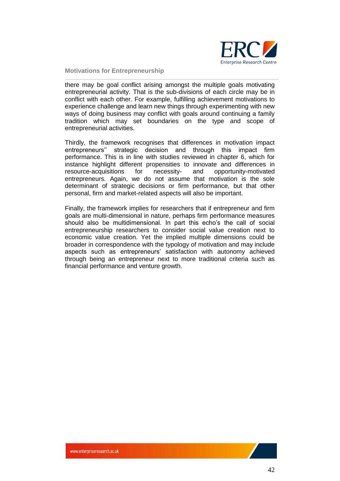

there may be goal conflict arising amongst the multiple goals motivating entrepreneurial activity. That is the sub-divisions of each circle may be in conflict with each other. For example, fulfilling achievement motivations to experience challenge and learn new things through experimenting with new ways of doing business may conflict with goals around continuing a family tradition which may set boundaries on the type and scope of entrepreneurial activities.

Thirdly, the framework recognises that differences in motivation impact entrepreneurs'' strategic decision and through this impact firm performance. This is in line with studies reviewed in chapter 6, which for instance highlight different propensities to innovate and differences in resource-acquisitions for necessity- and opportunity-motivated entrepreneurs. Again, we do not assume that motivation is the sole determinant of strategic decisions or firm performance, but that other personal, firm and market-related aspects will also be important.

Finally, the framework implies for researchers that if entrepreneur and firm goals are multi-dimensional in nature, perhaps firm performance measures should also be multidimensional. In part this echo's the call of social entrepreneurship researchers to consider social value creation next to economic value creation. Yet the implied multiple dimensions could be broader in correspondence with the typology of motivation and may include aspects such as entrepreneurs' satisfaction with autonomy achieved through being an entrepreneur next to more traditional criteria such as financial performance and venture growth.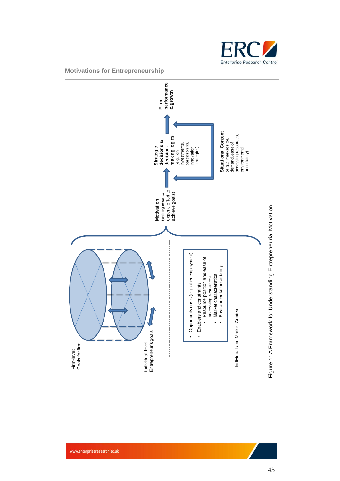

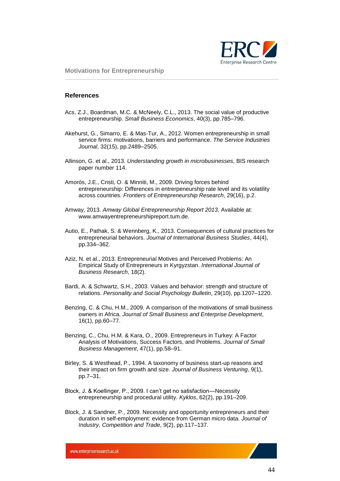

#### <span id="page-43-0"></span>**References**

- Acs, Z.J., Boardman, M.C. & McNeely, C.L., 2013. The social value of productive entrepreneurship. *Small Business Economics*, 40(3), pp.785–796.
- Akehurst, G., Simarro, E. & Mas‐Tur, A., 2012. Women entrepreneurship in small service firms: motivations, barriers and performance. *The Service Industries Journal*, 32(15), pp.2489–2505.
- Allinson, G. et al., 2013. *Understanding growth in microbusinesses*, BIS research paper number 114.
- Amorós, J.E., Cristi, O. & Minniti, M., 2009. Driving forces behind entrepreneurship: Differences in entrerpeneurship rate level and its volatility across countries. *Frontiers of Entrepreneurship Research*, 29(16), p.2.
- Amway, 2013. *Amway Global Entrepreneurship Report 2013*, Available at: www.amwayentrepreneurshipreport.tum.de.
- Autio, E., Pathak, S. & Wennberg, K., 2013. Consequences of cultural practices for entrepreneurial behaviors. *Journal of International Business Studies*, 44(4), pp.334–362.
- Aziz, N. et al., 2013. Entrepreneurial Motives and Perceived Problems: An Empirical Study of Entrepreneurs in Kyrgyzstan. *International Journal of Business Research*, 18(2).
- Bardi, A. & Schwartz, S.H., 2003. Values and behavior: strength and structure of relations. *Personality and Social Psychology Bulletin*, 29(10), pp.1207–1220.
- Benzing, C. & Chu, H.M., 2009. A comparison of the motivations of small business owners in Africa. *Journal of Small Business and Enterprise Development*, 16(1), pp.60–77.
- Benzing, C., Chu, H.M. & Kara, O., 2009. Entrepreneurs in Turkey: A Factor Analysis of Motivations, Success Factors, and Problems. *Journal of Small Business Management*, 47(1), pp.58–91.
- Birley, S. & Westhead, P., 1994. A taxonomy of business start-up reasons and their impact on firm growth and size. *Journal of Business Venturing*, 9(1), pp.7–31.
- Block, J. & Koellinger, P., 2009. I can't get no satisfaction—Necessity entrepreneurship and procedural utility. *Kyklos*, 62(2), pp.191–209.
- Block, J. & Sandner, P., 2009. Necessity and opportunity entrepreneurs and their duration in self-employment: evidence from German micro data. *Journal of Industry, Competition and Trade*, 9(2), pp.117–137.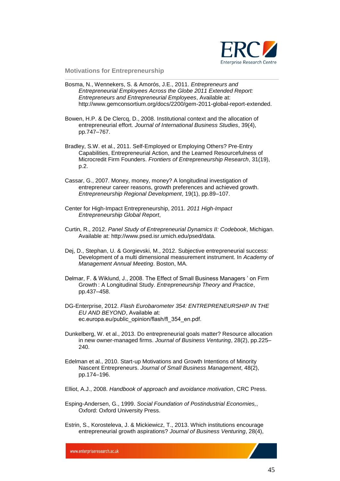

- Bosma, N., Wennekers, S. & Amorós, J.E., 2011. *Entrepreneurs and Entrepreneurial Employees Across the Globe 2011 Extended Report: Entrepreneurs and Entrepreneurial Employees*, Available at: http://www.gemconsortium.org/docs/2200/gem-2011-global-report-extended.
- Bowen, H.P. & De Clercq, D., 2008. Institutional context and the allocation of entrepreneurial effort. *Journal of International Business Studies*, 39(4), pp.747–767.
- Bradley, S.W. et al., 2011. Self-Employed or Employing Others? Pre-Entry Capabilities, Entrepreneurial Action, and the Learned Resourcefulness of Microcredit Firm Founders. *Frontiers of Entrepreneurship Research*, 31(19), p.2.
- Cassar, G., 2007. Money, money, money? A longitudinal investigation of entrepreneur career reasons, growth preferences and achieved growth. *Entrepreneurship Regional Development*, 19(1), pp.89–107.
- Center for High-Impact Entrepreneurship, 2011. *2011 High-Impact Entrepreneurship Global Report*,
- Curtin, R., 2012. *Panel Study of Entrepreneurial Dynamics II: Codebook*, Michigan. Available at: http://www.psed.isr.umich.edu/psed/data.
- Dej, D., Stephan, U. & Gorgievski, M., 2012. Subjective entrepreneurial success: Development of a multi dimensional measurement instrument. In *Academy of Management Annual Meeting*. Boston, MA.
- Delmar, F. & Wiklund, J., 2008. The Effect of Small Business Managers ' on Firm Growth : A Longitudinal Study. *Entrepreneurship Theory and Practice*, pp.437–458.
- DG-Enterprise, 2012. *Flash Eurobarometer 354: ENTREPRENEURSHIP IN THE EU AND BEYOND*, Available at: ec.europa.eu/public\_opinion/flash/fl\_354\_en.pdf.
- Dunkelberg, W. et al., 2013. Do entrepreneurial goals matter? Resource allocation in new owner-managed firms. *Journal of Business Venturing*, 28(2), pp.225– 240.
- Edelman et al., 2010. Start-up Motivations and Growth Intentions of Minority Nascent Entrepreneurs. *Journal of Small Business Management*, 48(2), pp.174–196.
- Elliot, A.J., 2008. *Handbook of approach and avoidance motivation*, CRC Press.
- Esping-Andersen, G., 1999. *Social Foundation of Postindustrial Economies,*, Oxford: Oxford University Press.
- Estrin, S., Korosteleva, J. & Mickiewicz, T., 2013. Which institutions encourage entrepreneurial growth aspirations? *Journal of Business Venturing*, 28(4),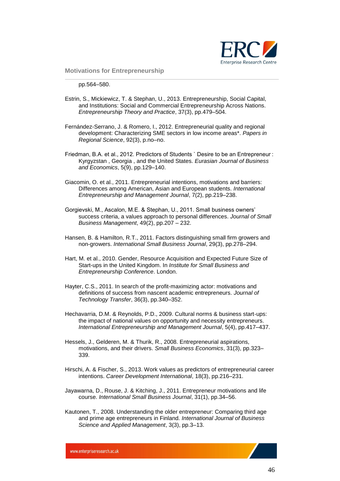

pp.564–580.

- Estrin, S., Mickiewicz, T. & Stephan, U., 2013. Entrepreneurship, Social Capital, and Institutions: Social and Commercial Entrepreneurship Across Nations. *Entrepreneurship Theory and Practice*, 37(3), pp.479–504.
- Fernández-Serrano, J. & Romero, I., 2012. Entrepreneurial quality and regional development: Characterizing SME sectors in low income areas\*. *Papers in Regional Science*, 92(3), p.no–no.
- Friedman, B.A. et al., 2012. Predictors of Students ` Desire to be an Entrepreneur : Kyrgyzstan , Georgia , and the United States. *Eurasian Journal of Business and Economics*, 5(9), pp.129–140.
- Giacomin, O. et al., 2011. Entrepreneurial intentions, motivations and barriers: Differences among American, Asian and European students. *International Entrepreneurship and Management Journal*, 7(2), pp.219–238.
- Gorgievski, M., Ascalon, M.E. & Stephan, U., 2011. Small business owners' success criteria, a values approach to personal differences. *Journal of Small Business Management*, 49(2), pp.207 – 232.
- Hansen, B. & Hamilton, R.T., 2011. Factors distinguishing small firm growers and non-growers. *International Small Business Journal*, 29(3), pp.278–294.
- Hart, M. et al., 2010. Gender, Resource Acquisition and Expected Future Size of Start-ups in the United Kingdom. In *Institute for Small Business and Entrepreneurship Conference*. London.
- Hayter, C.S., 2011. In search of the profit-maximizing actor: motivations and definitions of success from nascent academic entrepreneurs. *Journal of Technology Transfer*, 36(3), pp.340–352.
- Hechavarria, D.M. & Reynolds, P.D., 2009. Cultural norms & business start-ups: the impact of national values on opportunity and necessity entrepreneurs. *International Entrepreneurship and Management Journal*, 5(4), pp.417–437.
- Hessels, J., Gelderen, M. & Thurik, R., 2008. Entrepreneurial aspirations, motivations, and their drivers. *Small Business Economics*, 31(3), pp.323– 339.
- Hirschi, A. & Fischer, S., 2013. Work values as predictors of entrepreneurial career intentions. *Career Development International*, 18(3), pp.216–231.
- Jayawarna, D., Rouse, J. & Kitching, J., 2011. Entrepreneur motivations and life course. *International Small Business Journal*, 31(1), pp.34–56.
- Kautonen, T., 2008. Understanding the older entrepreneur: Comparing third age and prime age entrepreneurs in Finland. *International Journal of Business Science and Applied Management*, 3(3), pp.3–13.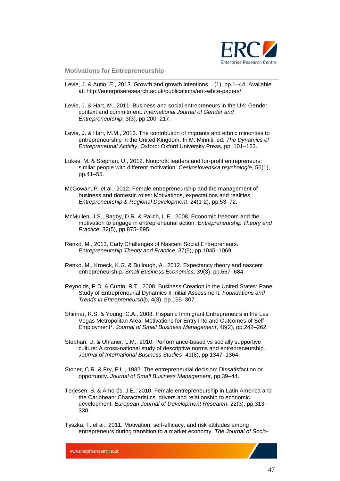

- Levie, J. & Autio, E., 2013. Growth and growth intentions. , (1), pp.1–44. Available at: http://enterpriseresearch.ac.uk/publications/erc-white-papers/.
- Levie, J. & Hart, M., 2011. Business and social entrepreneurs in the UK: Gender, context and commitment. *International Journal of Gender and Entrepreneurship*, 3(3), pp.200–217.
- Levie, J. & Hart, M.M., 2013. The contribution of migrants and ethnic minorities to entrepreneurship in the United Kingdom. In M. Minniti, ed. *The Dynamics of Entrepreneurial Activity*. Oxford: Oxford University Press, pp. 101–123.
- Lukes, M. & Stephan, U., 2012. Nonprofit leaders and for-profit entrepreneurs: similar people with different motivation. *Ceskoslovenska psychologie*, 56(1), pp.41–55.
- McGowan, P. et al., 2012. Female entrepreneurship and the management of business and domestic roles: Motivations, expectations and realities. *Entrepreneurship & Regional Development*, 24(1-2), pp.53–72.
- McMullen, J.S., Bagby, D.R. & Palich, L.E., 2008. Economic freedom and the motivation to engage in entrepreneurial action. *Entrepreneurship Theory and Practice*, 32(5), pp.875–895.
- Renko, M., 2013. Early Challenges of Nascent Social Entrepreneurs. *Entrepreneurship Theory and Practice*, 37(5), pp.1045–1069.
- Renko, M., Kroeck, K.G. & Bullough, A., 2012. Expectancy theory and nascent entrepreneurship. *Small Business Economics*, 39(3), pp.667–684.
- Reynolds, P.D. & Curtin, R.T., 2008. Business Creation in the United States: Panel Study of Entrepreneurial Dynamics II Initial Assessment. *Foundations and Trends in Entrepreneurship*, 4(3), pp.155–307.
- Shinnar, R.S. & Young, C.A., 2008. Hispanic Immigrant Entrepreneurs in the Las Vegas Metropolitan Area: Motivations for Entry into and Outcomes of Self-Employment\*. *Journal of Small Business Management*, 46(2), pp.242–262.
- Stephan, U. & Uhlaner, L.M., 2010. Performance-based vs socially supportive culture: A cross-national study of descriptive norms and entrepreneurship. *Journal of International Business Studies*, 41(8), pp.1347–1364.
- Stoner, C.R. & Fry, F.L., 1982. The entrepreneurial decision: Dissatisfaction or opportunity. *Journal of Small Business Management*, pp.39–44.
- Terjesen, S. & Amorós, J.E., 2010. Female entrepreneurship in Latin America and the Caribbean: Characteristics, drivers and relationship to economic development. *European Journal of Development Research*, 22(3), pp.313– 330.
- Tyszka, T. et al., 2011. Motivation, self-efficacy, and risk attitudes among entrepreneurs during transition to a market economy. *The Journal of Socio-*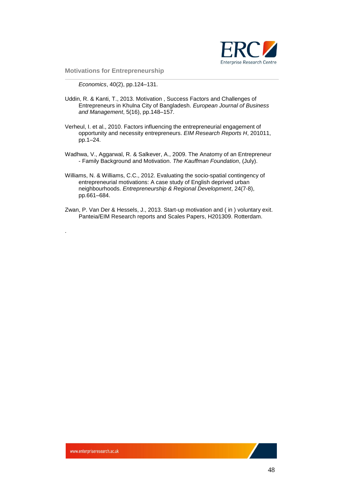

*Economics*, 40(2), pp.124–131.

- Uddin, R. & Kanti, T., 2013. Motivation , Success Factors and Challenges of Entrepreneurs in Khulna City of Bangladesh. *European Journal of Business and Management*, 5(16), pp.148–157.
- Verheul, I. et al., 2010. Factors influencing the entrepreneurial engagement of opportunity and necessity entrepreneurs. *EIM Research Reports H*, 201011, pp.1–24.
- Wadhwa, V., Aggarwal, R. & Salkever, A., 2009. The Anatomy of an Entrepreneur - Family Background and Motivation. *The Kauffman Foundation*, (July).
- Williams, N. & Williams, C.C., 2012. Evaluating the socio-spatial contingency of entrepreneurial motivations: A case study of English deprived urban neighbourhoods. *Entrepreneurship & Regional Development*, 24(7-8), pp.661–684.
- Zwan, P. Van Der & Hessels, J., 2013. Start-up motivation and ( in ) voluntary exit. Panteia/EIM Research reports and Scales Papers, H201309. Rotterdam.

.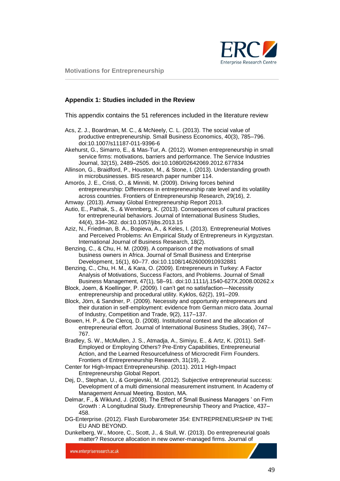

#### <span id="page-48-0"></span>**Appendix 1: Studies included in the Review**

This appendix contains the 51 references included in the literature review

- Acs, Z. J., Boardman, M. C., & McNeely, C. L. (2013). The social value of productive entrepreneurship. Small Business Economics, 40(3), 785–796. doi:10.1007/s11187-011-9396-6
- Akehurst, G., Simarro, E., & Mas‐Tur, A. (2012). Women entrepreneurship in small service firms: motivations, barriers and performance. The Service Industries Journal, 32(15), 2489–2505. doi:10.1080/02642069.2012.677834
- Allinson, G., Braidford, P., Houston, M., & Stone, I. (2013). Understanding growth in microbusinesses. BIS research paper number 114.
- Amorós, J. E., Cristi, O., & Minniti, M. (2009). Driving forces behind entrepreneurship: Differences in entrepreneurship rate level and its volatility across countries. Frontiers of Entrepreneurship Research, 29(16), 2.
- Amway. (2013). Amway Global Entrepreneurship Report 2013.
- Autio, E., Pathak, S., & Wennberg, K. (2013). Consequences of cultural practices for entrepreneurial behaviors. Journal of International Business Studies, 44(4), 334–362. doi:10.1057/jibs.2013.15
- Aziz, N., Friedman, B. A., Bopieva, A., & Keles, I. (2013). Entrepreneurial Motives and Perceived Problems: An Empirical Study of Entrepreneurs in Kyrgyzstan. International Journal of Business Research, 18(2).
- Benzing, C., & Chu, H. M. (2009). A comparison of the motivations of small business owners in Africa. Journal of Small Business and Enterprise Development, 16(1), 60–77. doi:10.1108/14626000910932881
- Benzing, C., Chu, H. M., & Kara, O. (2009). Entrepreneurs in Turkey: A Factor Analysis of Motivations, Success Factors, and Problems. Journal of Small Business Management, 47(1), 58–91. doi:10.1111/j.1540-627X.2008.00262.x
- Block, Joern, & Koellinger, P. (2009). I can't get no satisfaction—Necessity entrepreneurship and procedural utility. Kyklos, 62(2), 191–209.
- Block, Jörn, & Sandner, P. (2009). Necessity and opportunity entrepreneurs and their duration in self-employment: evidence from German micro data. Journal of Industry, Competition and Trade, 9(2), 117–137.
- Bowen, H. P., & De Clercq, D. (2008). Institutional context and the allocation of entrepreneurial effort. Journal of International Business Studies, 39(4), 747– 767.
- Bradley, S. W., McMullen, J. S., Atmadja, A., Simiyu, E., & Artz, K. (2011). Self-Employed or Employing Others? Pre-Entry Capabilities, Entrepreneurial Action, and the Learned Resourcefulness of Microcredit Firm Founders. Frontiers of Entrepreneurship Research, 31(19), 2.
- Center for High-Impact Entrepreneurship. (2011). 2011 High-Impact Entrepreneurship Global Report.
- Dej, D., Stephan, U., & Gorgievski, M. (2012). Subjective entrepreneurial success: Development of a multi dimensional measurement instrument. In Academy of Management Annual Meeting. Boston, MA.
- Delmar, F., & Wiklund, J. (2008). The Effect of Small Business Managers ' on Firm Growth : A Longitudinal Study. Entrepreneurship Theory and Practice, 437– 458.
- DG-Enterprise. (2012). Flash Eurobarometer 354: ENTREPRENEURSHIP IN THE EU AND BEYOND.
- Dunkelberg, W., Moore, C., Scott, J., & Stull, W. (2013). Do entrepreneurial goals matter? Resource allocation in new owner-managed firms. Journal of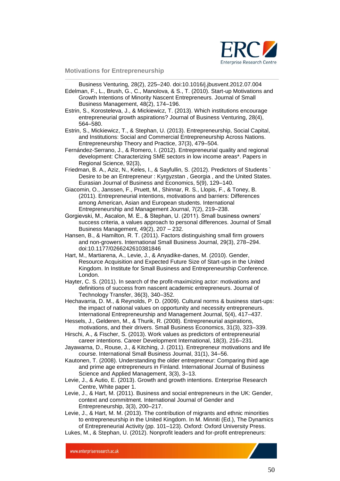

Business Venturing, 28(2), 225–240. doi:10.1016/j.jbusvent.2012.07.004

Edelman, F., L., Brush, G., C., Manolova, & S., T. (2010). Start-up Motivations and Growth Intentions of Minority Nascent Entrepreneurs. Journal of Small Business Management, 48(2), 174–196.

Estrin, S., Korosteleva, J., & Mickiewicz, T. (2013). Which institutions encourage entrepreneurial growth aspirations? Journal of Business Venturing, 28(4), 564–580.

Estrin, S., Mickiewicz, T., & Stephan, U. (2013). Entrepreneurship, Social Capital, and Institutions: Social and Commercial Entrepreneurship Across Nations. Entrepreneurship Theory and Practice, 37(3), 479–504.

Fernández-Serrano, J., & Romero, I. (2012). Entrepreneurial quality and regional development: Characterizing SME sectors in low income areas\*. Papers in Regional Science, 92(3),

- Friedman, B. A., Aziz, N., Keles, I., & Sayfullin, S. (2012). Predictors of Students ` Desire to be an Entrepreneur : Kyrgyzstan , Georgia , and the United States. Eurasian Journal of Business and Economics, 5(9), 129–140.
- Giacomin, O., Janssen, F., Pruett, M., Shinnar, R. S., Llopis, F., & Toney, B. (2011). Entrepreneurial intentions, motivations and barriers: Differences among American, Asian and European students. International Entrepreneurship and Management Journal, 7(2), 219–238.

Gorgievski, M., Ascalon, M. E., & Stephan, U. (2011). Small business owners' success criteria, a values approach to personal differences. Journal of Small Business Management, 49(2), 207 – 232.

Hansen, B., & Hamilton, R. T. (2011). Factors distinguishing small firm growers and non-growers. International Small Business Journal, 29(3), 278–294. doi:10.1177/0266242610381846

Hart, M., Martiarena, A., Levie, J., & Anyadike-danes, M. (2010). Gender, Resource Acquisition and Expected Future Size of Start-ups in the United Kingdom. In Institute for Small Business and Entrepreneurship Conference. London.

Hayter, C. S. (2011). In search of the profit-maximizing actor: motivations and definitions of success from nascent academic entrepreneurs. Journal of Technology Transfer, 36(3), 340–352.

Hechavarria, D. M., & Reynolds, P. D. (2009). Cultural norms & business start-ups: the impact of national values on opportunity and necessity entrepreneurs. International Entrepreneurship and Management Journal, 5(4), 417–437.

Hessels, J., Gelderen, M., & Thurik, R. (2008). Entrepreneurial aspirations, motivations, and their drivers. Small Business Economics, 31(3), 323–339.

Hirschi, A., & Fischer, S. (2013). Work values as predictors of entrepreneurial career intentions. Career Development International, 18(3), 216–231.

Jayawarna, D., Rouse, J., & Kitching, J. (2011). Entrepreneur motivations and life course. International Small Business Journal, 31(1), 34–56.

Kautonen, T. (2008). Understanding the older entrepreneur: Comparing third age and prime age entrepreneurs in Finland. International Journal of Business Science and Applied Management, 3(3), 3–13.

Levie, J., & Autio, E. (2013). Growth and growth intentions. Enterprise Research Centre, White paper 1.

Levie, J., & Hart, M. (2011). Business and social entrepreneurs in the UK: Gender, context and commitment. International Journal of Gender and Entrepreneurship, 3(3), 200–217.

Levie, J., & Hart, M. M. (2013). The contribution of migrants and ethnic minorities to entrepreneurship in the United Kingdom. In M. Minniti (Ed.), The Dynamics of Entrepreneurial Activity (pp. 101–123). Oxford: Oxford University Press. Lukes, M., & Stephan, U. (2012). Nonprofit leaders and for-profit entrepreneurs: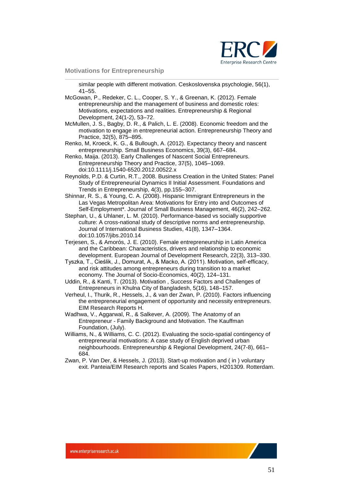

similar people with different motivation. Ceskoslovenska psychologie, 56(1), 41–55.

- McGowan, P., Redeker, C. L., Cooper, S. Y., & Greenan, K. (2012). Female entrepreneurship and the management of business and domestic roles: Motivations, expectations and realities. Entrepreneurship & Regional Development, 24(1-2), 53–72.
- McMullen, J. S., Bagby, D. R., & Palich, L. E. (2008). Economic freedom and the motivation to engage in entrepreneurial action. Entrepreneurship Theory and Practice, 32(5), 875–895.
- Renko, M, Kroeck, K. G., & Bullough, A. (2012). Expectancy theory and nascent entrepreneurship. Small Business Economics, 39(3), 667–684.
- Renko, Maija. (2013). Early Challenges of Nascent Social Entrepreneurs. Entrepreneurship Theory and Practice, 37(5), 1045–1069. doi:10.1111/j.1540-6520.2012.00522.x
- Reynolds, P.D. & Curtin, R.T., 2008. Business Creation in the United States: Panel Study of Entrepreneurial Dynamics II Initial Assessment. Foundations and Trends in Entrepreneurship, 4(3), pp.155–307.
- Shinnar, R. S., & Young, C. A. (2008). Hispanic Immigrant Entrepreneurs in the Las Vegas Metropolitan Area: Motivations for Entry into and Outcomes of Self-Employment\*. Journal of Small Business Management, 46(2), 242–262.
- Stephan, U., & Uhlaner, L. M. (2010). Performance-based vs socially supportive culture: A cross-national study of descriptive norms and entrepreneurship. Journal of International Business Studies, 41(8), 1347–1364. doi:10.1057/jibs.2010.14
- Terjesen, S., & Amorós, J. E. (2010). Female entrepreneurship in Latin America and the Caribbean: Characteristics, drivers and relationship to economic development. European Journal of Development Research, 22(3), 313–330.
- Tyszka, T., Cieślik, J., Domurat, A., & Macko, A. (2011). Motivation, self-efficacy, and risk attitudes among entrepreneurs during transition to a market economy. The Journal of Socio-Economics, 40(2), 124–131.
- Uddin, R., & Kanti, T. (2013). Motivation , Success Factors and Challenges of Entrepreneurs in Khulna City of Bangladesh, 5(16), 148–157.
- Verheul, I., Thurik, R., Hessels, J., & van der Zwan, P. (2010). Factors influencing the entrepreneurial engagement of opportunity and necessity entrepreneurs. EIM Research Reports H.
- Wadhwa, V., Aggarwal, R., & Salkever, A. (2009). The Anatomy of an Entrepreneur - Family Background and Motivation. The Kauffman Foundation, (July).
- Williams, N., & Williams, C. C. (2012). Evaluating the socio-spatial contingency of entrepreneurial motivations: A case study of English deprived urban neighbourhoods. Entrepreneurship & Regional Development, 24(7-8), 661– 684.
- Zwan, P. Van Der, & Hessels, J. (2013). Start-up motivation and ( in ) voluntary exit. Panteia/EIM Research reports and Scales Papers, H201309. Rotterdam.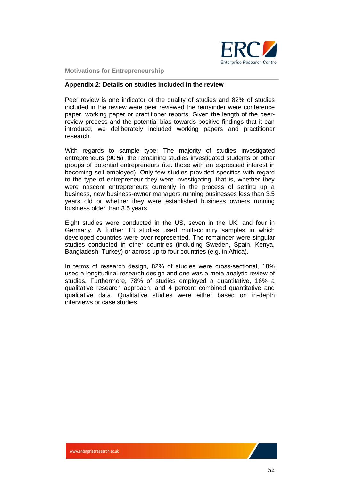

#### <span id="page-51-0"></span>**Appendix 2: Details on studies included in the review**

Peer review is one indicator of the quality of studies and 82% of studies included in the review were peer reviewed the remainder were conference paper, working paper or practitioner reports. Given the length of the peerreview process and the potential bias towards positive findings that it can introduce, we deliberately included working papers and practitioner research.

With regards to sample type: The majority of studies investigated entrepreneurs (90%), the remaining studies investigated students or other groups of potential entrepreneurs (i.e. those with an expressed interest in becoming self-employed). Only few studies provided specifics with regard to the type of entrepreneur they were investigating, that is, whether they were nascent entrepreneurs currently in the process of setting up a business, new business-owner managers running businesses less than 3.5 years old or whether they were established business owners running business older than 3.5 years.

Eight studies were conducted in the US, seven in the UK, and four in Germany. A further 13 studies used multi-country samples in which developed countries were over-represented. The remainder were singular studies conducted in other countries (including Sweden, Spain, Kenya, Bangladesh, Turkey) or across up to four countries (e.g. in Africa).

In terms of research design, 82% of studies were cross-sectional, 18% used a longitudinal research design and one was a meta-analytic review of studies. Furthermore, 78% of studies employed a quantitative, 16% a qualitative research approach, and 4 percent combined quantitative and qualitative data. Qualitative studies were either based on in-depth interviews or case studies.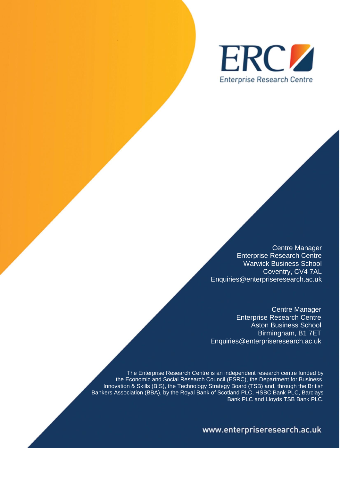

Centre Manager Enterprise Research Centre Warwick Business School Coventry, CV4 7AL Enquiries@enterpriseresearch.ac.uk

Centre Manager Enterprise Research Centre Aston Business School Birmingham, B1 7ET Enquiries@enterpriseresearch.ac.uk

The Enterprise Research Centre is an independent research centre funded by the Economic and Social Research Council (ESRC), the Department for Business, Innovation & Skills (BIS), the Technology Strategy Board (TSB) and, through the British Bankers Association (BBA), by the Royal Bank of Scotland PLC, HSBC Bank PLC, Barclays Bank PLC and Lloyds TSB Bank PLC.